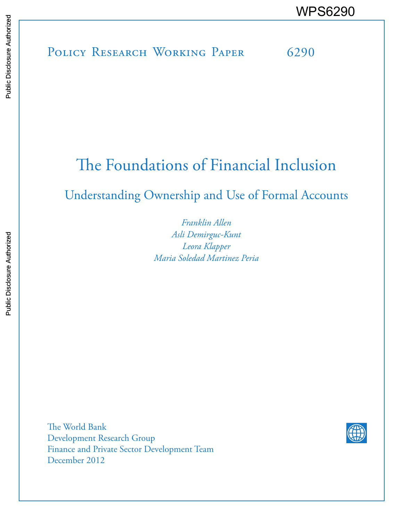POLICY RESEARCH WORKING PAPER 6290 WPS6290<br>
Media<br>
Media<br>
POLICY RESEARCH WORKING PAPER 6290<br>
POLICY RESEARCH WORKING PAPER 6290

# The Foundations of Financial Inclusion

Understanding Ownership and Use of Formal Accounts

*Franklin Allen Asli Demirguc-Kunt Leora Klapper Maria Soledad Martinez Peria*

The World Bank Development Research Group Finance and Private Sector Development Team December 2012

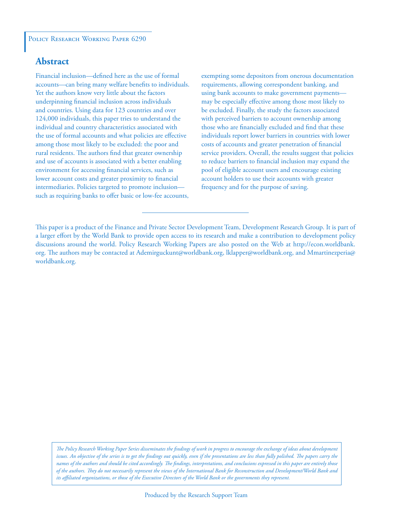#### POLICY RESEARCH WORKING PAPER 6290

### **Abstract**

Financial inclusion—defined here as the use of formal accounts—can bring many welfare benefits to individuals. Yet the authors know very little about the factors underpinning financial inclusion across individuals and countries. Using data for 123 countries and over 124,000 individuals, this paper tries to understand the individual and country characteristics associated with the use of formal accounts and what policies are effective among those most likely to be excluded: the poor and rural residents. The authors find that greater ownership and use of accounts is associated with a better enabling environment for accessing financial services, such as lower account costs and greater proximity to financial intermediaries. Policies targeted to promote inclusion such as requiring banks to offer basic or low-fee accounts,

exempting some depositors from onerous documentation requirements, allowing correspondent banking, and using bank accounts to make government payments may be especially effective among those most likely to be excluded. Finally, the study the factors associated with perceived barriers to account ownership among those who are financially excluded and find that these individuals report lower barriers in countries with lower costs of accounts and greater penetration of financial service providers. Overall, the results suggest that policies to reduce barriers to financial inclusion may expand the pool of eligible account users and encourage existing account holders to use their accounts with greater frequency and for the purpose of saving.

This paper is a product of the Finance and Private Sector Development Team, Development Research Group. It is part of a larger effort by the World Bank to provide open access to its research and make a contribution to development policy discussions around the world. Policy Research Working Papers are also posted on the Web at http://econ.worldbank. org. The authors may be contacted at Ademirguckunt@worldbank.org, lklapper@worldbank.org, and Mmartinezperia@ worldbank.org.

*The Policy Research Working Paper Series disseminates the findings of work in progress to encourage the exchange of ideas about development*  issues. An objective of the series is to get the findings out quickly, even if the presentations are less than fully polished. The papers carry the *names of the authors and should be cited accordingly. The findings, interpretations, and conclusions expressed in this paper are entirely those of the authors. They do not necessarily represent the views of the International Bank for Reconstruction and Development/World Bank and its affiliated organizations, or those of the Executive Directors of the World Bank or the governments they represent.*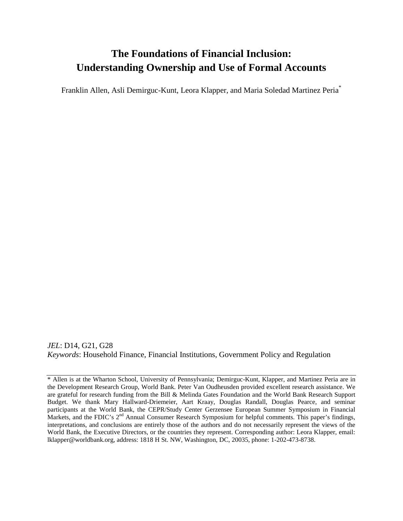# **The Foundations of Financial Inclusion: Understanding Ownership and Use of Formal Accounts**

Franklin Allen, Asli Demirguc-Kunt, Leora Klapper, and Maria Soledad Martinez Peria\*

*JEL*: D14, G21, G28 *Keywords*: Household Finance, Financial Institutions, Government Policy and Regulation

\* Allen is at the Wharton School, University of Pennsylvania; Demirguc-Kunt, Klapper, and Martinez Peria are in the Development Research Group, World Bank. Peter Van Oudheusden provided excellent research assistance. We are grateful for research funding from the Bill & Melinda Gates Foundation and the World Bank Research Support Budget. We thank Mary Hallward-Driemeier, Aart Kraay, Douglas Randall, Douglas Pearce, and seminar participants at the World Bank, the CEPR/Study Center Gerzensee European Summer Symposium in Financial Markets, and the FDIC's 2<sup>nd</sup> Annual Consumer Research Symposium for helpful comments. This paper's findings, interpretations, and conclusions are entirely those of the authors and do not necessarily represent the views of the World Bank, the Executive Directors, or the countries they represent. Corresponding author: Leora Klapper, email: [lklapper@worldbank.org,](mailto:lklapper@worldbank.org) address: 1818 H St. NW, Washington, DC, 20035, phone: 1-202-473-8738.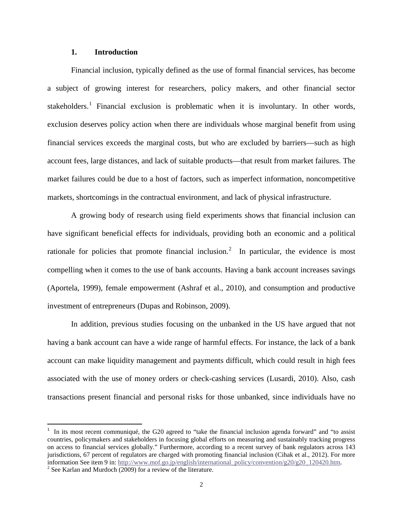#### **1. Introduction**

Financial inclusion, typically defined as the use of formal financial services, has become a subject of growing interest for researchers, policy makers, and other financial sector stakeholders.<sup>[1](#page-3-0)</sup> Financial exclusion is problematic when it is involuntary. In other words, exclusion deserves policy action when there are individuals whose marginal benefit from using financial services exceeds the marginal costs, but who are excluded by barriers—such as high account fees, large distances, and lack of suitable products—that result from market failures. The market failures could be due to a host of factors, such as imperfect information, noncompetitive markets, shortcomings in the contractual environment, and lack of physical infrastructure.

A growing body of research using field experiments shows that financial inclusion can have significant beneficial effects for individuals, providing both an economic and a political rationale for policies that promote financial inclusion.<sup>[2](#page-3-1)</sup> In particular, the evidence is most compelling when it comes to the use of bank accounts. Having a bank account increases savings (Aportela, 1999), female empowerment (Ashraf et al., 2010), and consumption and productive investment of entrepreneurs (Dupas and Robinson, 2009).

In addition, previous studies focusing on the unbanked in the US have argued that not having a bank account can have a wide range of harmful effects. For instance, the lack of a bank account can make liquidity management and payments difficult, which could result in high fees associated with the use of money orders or check-cashing services (Lusardi, 2010). Also, cash transactions present financial and personal risks for those unbanked, since individuals have no

 $\overline{\phantom{a}}$ 

<span id="page-3-0"></span><sup>&</sup>lt;sup>1</sup> In its most recent communiqué, the G20 agreed to "take the financial inclusion agenda forward" and "to assist countries, policymakers and stakeholders in focusing global efforts on measuring and sustainably tracking progress on access to financial services globally." Furthermore, according to a recent survey of bank regulators across 143 jurisdictions, 67 percent of regulators are charged with promoting financial inclusion (Cihak et al., 2012). For more information See item 9 in: [http://www.mof.go.jp/english/international\\_policy/convention/g20/g20\\_120420.htm.](http://www.mof.go.jp/english/international_policy/convention/g20/g20_120420.htm) <sup>2</sup> See Karlan and Murdoch (2009) for a review of the literature.

<span id="page-3-1"></span>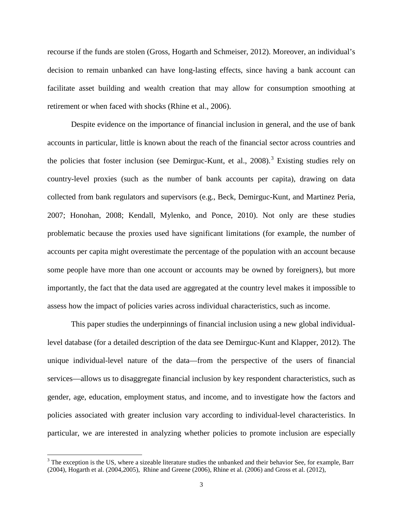recourse if the funds are stolen (Gross, Hogarth and Schmeiser, 2012). Moreover, an individual's decision to remain unbanked can have long-lasting effects, since having a bank account can facilitate asset building and wealth creation that may allow for consumption smoothing at retirement or when faced with shocks (Rhine et al., 2006).

Despite evidence on the importance of financial inclusion in general, and the use of bank accounts in particular, little is known about the reach of the financial sector across countries and the policies that foster inclusion (see Demirguc-Kunt, et al.,  $2008$ ).<sup>[3](#page-4-0)</sup> Existing studies rely on country-level proxies (such as the number of bank accounts per capita), drawing on data collected from bank regulators and supervisors (e.g., Beck, Demirguc-Kunt, and Martinez Peria, 2007; Honohan, 2008; Kendall, Mylenko, and Ponce, 2010). Not only are these studies problematic because the proxies used have significant limitations (for example, the number of accounts per capita might overestimate the percentage of the population with an account because some people have more than one account or accounts may be owned by foreigners), but more importantly, the fact that the data used are aggregated at the country level makes it impossible to assess how the impact of policies varies across individual characteristics, such as income.

This paper studies the underpinnings of financial inclusion using a new global individuallevel database (for a detailed description of the data see Demirguc-Kunt and Klapper, 2012). The unique individual-level nature of the data—from the perspective of the users of financial services—allows us to disaggregate financial inclusion by key respondent characteristics, such as gender, age, education, employment status, and income, and to investigate how the factors and policies associated with greater inclusion vary according to individual-level characteristics. In particular, we are interested in analyzing whether policies to promote inclusion are especially

<span id="page-4-0"></span><sup>&</sup>lt;sup>3</sup> The exception is the US, where a sizeable literature studies the unbanked and their behavior See, for example, Barr (2004), Hogarth et al. (2004,2005), Rhine and Greene (2006), Rhine et al. (2006) and Gross et al. (2012),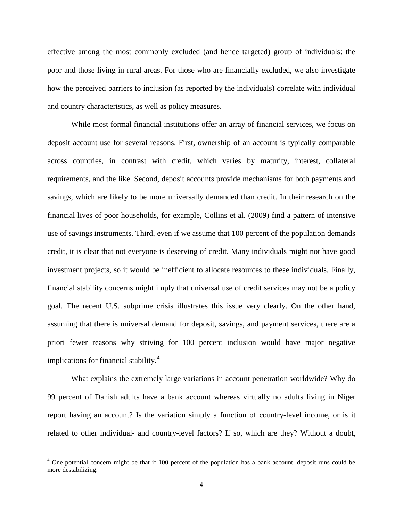effective among the most commonly excluded (and hence targeted) group of individuals: the poor and those living in rural areas. For those who are financially excluded, we also investigate how the perceived barriers to inclusion (as reported by the individuals) correlate with individual and country characteristics, as well as policy measures.

While most formal financial institutions offer an array of financial services, we focus on deposit account use for several reasons. First, ownership of an account is typically comparable across countries, in contrast with credit, which varies by maturity, interest, collateral requirements, and the like. Second, deposit accounts provide mechanisms for both payments and savings, which are likely to be more universally demanded than credit. In their research on the financial lives of poor households, for example, Collins et al. (2009) find a pattern of intensive use of savings instruments. Third, even if we assume that 100 percent of the population demands credit, it is clear that not everyone is deserving of credit. Many individuals might not have good investment projects, so it would be inefficient to allocate resources to these individuals. Finally, financial stability concerns might imply that universal use of credit services may not be a policy goal. The recent U.S. subprime crisis illustrates this issue very clearly. On the other hand, assuming that there is universal demand for deposit, savings, and payment services, there are a priori fewer reasons why striving for 100 percent inclusion would have major negative implications for financial stability.<sup>[4](#page-5-0)</sup>

What explains the extremely large variations in account penetration worldwide? Why do 99 percent of Danish adults have a bank account whereas virtually no adults living in Niger report having an account? Is the variation simply a function of country-level income, or is it related to other individual- and country-level factors? If so, which are they? Without a doubt,

<span id="page-5-0"></span> $4$  One potential concern might be that if 100 percent of the population has a bank account, deposit runs could be more destabilizing.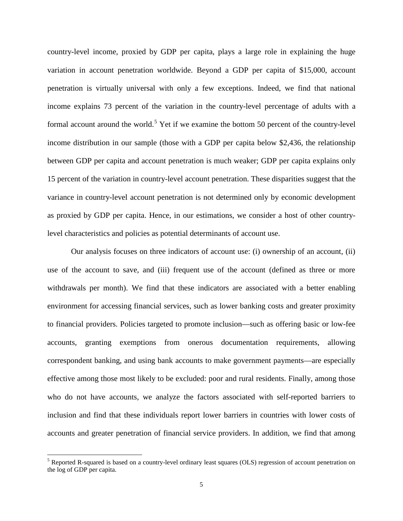country-level income, proxied by GDP per capita, plays a large role in explaining the huge variation in account penetration worldwide. Beyond a GDP per capita of \$15,000, account penetration is virtually universal with only a few exceptions. Indeed, we find that national income explains 73 percent of the variation in the country-level percentage of adults with a formal account around the world.<sup>[5](#page-6-0)</sup> Yet if we examine the bottom 50 percent of the country-level income distribution in our sample (those with a GDP per capita below \$2,436, the relationship between GDP per capita and account penetration is much weaker; GDP per capita explains only 15 percent of the variation in country-level account penetration. These disparities suggest that the variance in country-level account penetration is not determined only by economic development as proxied by GDP per capita. Hence, in our estimations, we consider a host of other countrylevel characteristics and policies as potential determinants of account use.

Our analysis focuses on three indicators of account use: (i) ownership of an account, (ii) use of the account to save, and (iii) frequent use of the account (defined as three or more withdrawals per month). We find that these indicators are associated with a better enabling environment for accessing financial services, such as lower banking costs and greater proximity to financial providers. Policies targeted to promote inclusion—such as offering basic or low-fee accounts, granting exemptions from onerous documentation requirements, allowing correspondent banking, and using bank accounts to make government payments—are especially effective among those most likely to be excluded: poor and rural residents. Finally, among those who do not have accounts, we analyze the factors associated with self-reported barriers to inclusion and find that these individuals report lower barriers in countries with lower costs of accounts and greater penetration of financial service providers. In addition, we find that among

<span id="page-6-0"></span><sup>&</sup>lt;sup>5</sup> Reported R-squared is based on a country-level ordinary least squares (OLS) regression of account penetration on the log of GDP per capita.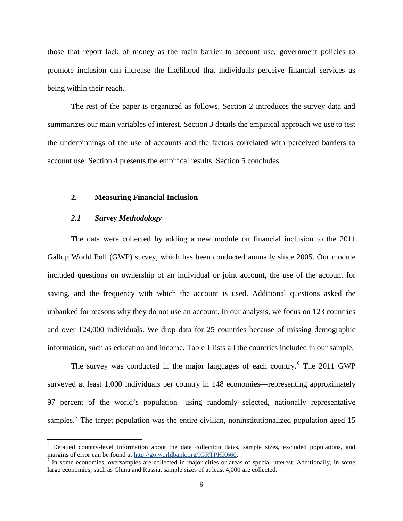those that report lack of money as the main barrier to account use, government policies to promote inclusion can increase the likelihood that individuals perceive financial services as being within their reach.

The rest of the paper is organized as follows. Section 2 introduces the survey data and summarizes our main variables of interest. Section 3 details the empirical approach we use to test the underpinnings of the use of accounts and the factors correlated with perceived barriers to account use. Section 4 presents the empirical results. Section 5 concludes.

#### **2. Measuring Financial Inclusion**

#### *2.1 Survey Methodology*

l

The data were collected by adding a new module on financial inclusion to the 2011 Gallup World Poll (GWP) survey, which has been conducted annually since 2005. Our module included questions on ownership of an individual or joint account, the use of the account for saving, and the frequency with which the account is used. Additional questions asked the unbanked for reasons why they do not use an account. In our analysis, we focus on 123 countries and over 124,000 individuals. We drop data for 25 countries because of missing demographic information, such as education and income. Table 1 lists all the countries included in our sample.

The survey was conducted in the major languages of each country.<sup>[6](#page-7-0)</sup> The 2011 GWP surveyed at least 1,000 individuals per country in 148 economies—representing approximately 97 percent of the world's population—using randomly selected, nationally representative samples.<sup>[7](#page-7-1)</sup> The target population was the entire civilian, noninstitutionalized population aged 15

<span id="page-7-0"></span><sup>&</sup>lt;sup>6</sup> Detailed country-level information about the data collection dates, sample sizes, excluded populations, and margins of error can be found at [http://go.worldbank.org/IGRTPHK660.](http://go.worldbank.org/IGRTPHK660)<br><sup>7</sup> In some economies, oversamples are collected in major cities or areas of special interest. Additionally, in some

<span id="page-7-1"></span>large economies, such as China and Russia, sample sizes of at least 4,000 are collected.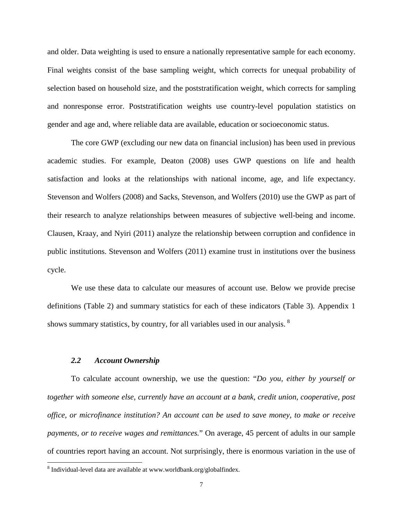and older. Data weighting is used to ensure a nationally representative sample for each economy. Final weights consist of the base sampling weight, which corrects for unequal probability of selection based on household size, and the poststratification weight, which corrects for sampling and nonresponse error. Poststratification weights use country-level population statistics on gender and age and, where reliable data are available, education or socioeconomic status.

The core GWP (excluding our new data on financial inclusion) has been used in previous academic studies. For example, Deaton (2008) uses GWP questions on life and health satisfaction and looks at the relationships with national income, age, and life expectancy. Stevenson and Wolfers (2008) and Sacks, Stevenson, and Wolfers (2010) use the GWP as part of their research to analyze relationships between measures of subjective well-being and income. Clausen, Kraay, and Nyiri (2011) analyze the relationship between corruption and confidence in public institutions. Stevenson and Wolfers (2011) examine trust in institutions over the business cycle.

We use these data to calculate our measures of account use. Below we provide precise definitions (Table 2) and summary statistics for each of these indicators (Table 3). Appendix 1 shows summary statistics, by country, for all variables used in our analysis. <sup>[8](#page-8-0)</sup>

#### *2.2 Account Ownership*

l

To calculate account ownership, we use the question: "*Do you, either by yourself or together with someone else, currently have an account at a bank, credit union, cooperative, post office, or microfinance institution? An account can be used to save money, to make or receive payments, or to receive wages and remittances.*" On average, 45 percent of adults in our sample of countries report having an account. Not surprisingly, there is enormous variation in the use of

<span id="page-8-0"></span><sup>&</sup>lt;sup>8</sup> Individual-level data are available at www.worldbank.org/globalfindex.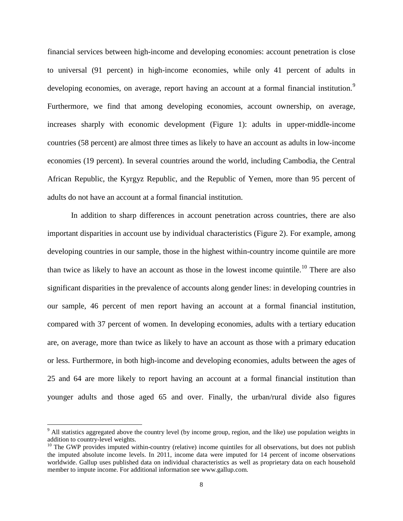financial services between high-income and developing economies: account penetration is close to universal (91 percent) in high-income economies, while only 41 percent of adults in developing economies, on average, report having an account at a formal financial institution.<sup>[9](#page-9-0)</sup> Furthermore, we find that among developing economies, account ownership, on average, increases sharply with economic development (Figure 1): adults in upper-middle-income countries (58 percent) are almost three times as likely to have an account as adults in low-income economies (19 percent). In several countries around the world, including Cambodia, the Central African Republic, the Kyrgyz Republic, and the Republic of Yemen, more than 95 percent of adults do not have an account at a formal financial institution.

In addition to sharp differences in account penetration across countries, there are also important disparities in account use by individual characteristics (Figure 2). For example, among developing countries in our sample, those in the highest within-country income quintile are more than twice as likely to have an account as those in the lowest income quintile.<sup>[10](#page-9-1)</sup> There are also significant disparities in the prevalence of accounts along gender lines: in developing countries in our sample, 46 percent of men report having an account at a formal financial institution, compared with 37 percent of women. In developing economies, adults with a tertiary education are, on average, more than twice as likely to have an account as those with a primary education or less. Furthermore, in both high-income and developing economies, adults between the ages of 25 and 64 are more likely to report having an account at a formal financial institution than younger adults and those aged 65 and over. Finally, the urban/rural divide also figures

 $\overline{\phantom{a}}$ 

<span id="page-9-0"></span><sup>&</sup>lt;sup>9</sup> All statistics aggregated above the country level (by income group, region, and the like) use population weights in addition to country-level weights.

<span id="page-9-1"></span> $10$  The GWP provides imputed within-country (relative) income quintiles for all observations, but does not publish the imputed absolute income levels. In 2011, income data were imputed for 14 percent of income observations worldwide. Gallup uses published data on individual characteristics as well as proprietary data on each household member to impute income. For additional information see www.gallup.com.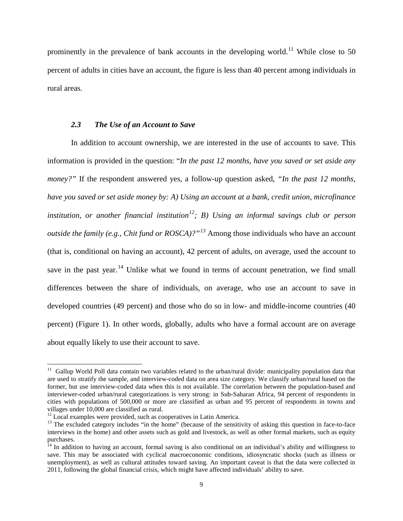prominently in the prevalence of bank accounts in the developing world.<sup>[11](#page-10-0)</sup> While close to 50 percent of adults in cities have an account, the figure is less than 40 percent among individuals in rural areas.

#### *2.3 The Use of an Account to Save*

In addition to account ownership, we are interested in the use of accounts to save. This information is provided in the question: "*In the past 12 months, have you saved or set aside any money?"* If the respondent answered yes, a follow-up question asked, *"In the past 12 months, have you saved or set aside money by: A) Using an account at a bank, credit union, microfinance institution, or another financial institution[12](#page-10-1); B) Using an informal savings club or person outside the family (e.g., Chit fund or ROSCA)?"[13](#page-10-2)* Among those individuals who have an account (that is, conditional on having an account), 42 percent of adults, on average, used the account to save in the past year.<sup>[14](#page-10-3)</sup> Unlike what we found in terms of account penetration, we find small differences between the share of individuals, on average, who use an account to save in developed countries (49 percent) and those who do so in low- and middle-income countries (40 percent) (Figure 1). In other words, globally, adults who have a formal account are on average about equally likely to use their account to save.

 $\overline{\phantom{a}}$ 

<span id="page-10-0"></span><sup>&</sup>lt;sup>11</sup> Gallup World Poll data contain two variables related to the urban/rural divide: municipality population data that are used to stratify the sample, and interview-coded data on area size category. We classify urban/rural based on the former, but use interview-coded data when this is not available. The correlation between the population-based and interviewer-coded urban/rural categorizations is very strong: in Sub-Saharan Africa, 94 percent of respondents in cities with populations of 500,000 or more are classified as urban and 95 percent of respondents in towns and

<span id="page-10-2"></span><span id="page-10-1"></span> $12$  Local examples were provided, such as cooperatives in Latin America.<br>
<sup>13</sup> The excluded category includes "in the home" (because of the sensitivity of asking this question in face-to-face interviews in the home) and other assets such as gold and livestock, as well as other formal markets, such as equity

<span id="page-10-3"></span> $<sup>14</sup>$  In addition to having an account, formal saving is also conditional on an individual's ability and willingness to</sup> save. This may be associated with cyclical macroeconomic conditions, idiosyncratic shocks (such as illness or unemployment), as well as cultural attitudes toward saving. An important caveat is that the data were collected in 2011, following the global financial crisis, which might have affected individuals' ability to save.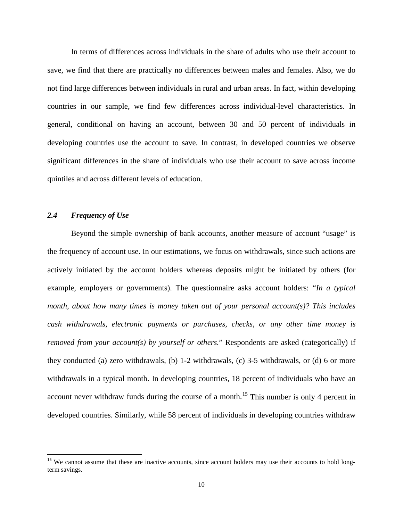In terms of differences across individuals in the share of adults who use their account to save, we find that there are practically no differences between males and females. Also, we do not find large differences between individuals in rural and urban areas. In fact, within developing countries in our sample, we find few differences across individual-level characteristics. In general, conditional on having an account, between 30 and 50 percent of individuals in developing countries use the account to save. In contrast, in developed countries we observe significant differences in the share of individuals who use their account to save across income quintiles and across different levels of education.

### *2.4 Frequency of Use*

 $\overline{\phantom{a}}$ 

Beyond the simple ownership of bank accounts, another measure of account "usage" is the frequency of account use. In our estimations, we focus on withdrawals, since such actions are actively initiated by the account holders whereas deposits might be initiated by others (for example, employers or governments). The questionnaire asks account holders: "*In a typical month, about how many times is money taken out of your personal account(s)? This includes cash withdrawals, electronic payments or purchases, checks, or any other time money is removed from your account(s) by yourself or others.*" Respondents are asked (categorically) if they conducted (a) zero withdrawals, (b) 1-2 withdrawals, (c) 3-5 withdrawals, or (d) 6 or more withdrawals in a typical month. In developing countries, 18 percent of individuals who have an account never withdraw funds during the course of a month.<sup>[15](#page-11-0)</sup> This number is only 4 percent in developed countries. Similarly, while 58 percent of individuals in developing countries withdraw

<span id="page-11-0"></span><sup>&</sup>lt;sup>15</sup> We cannot assume that these are inactive accounts, since account holders may use their accounts to hold longterm savings.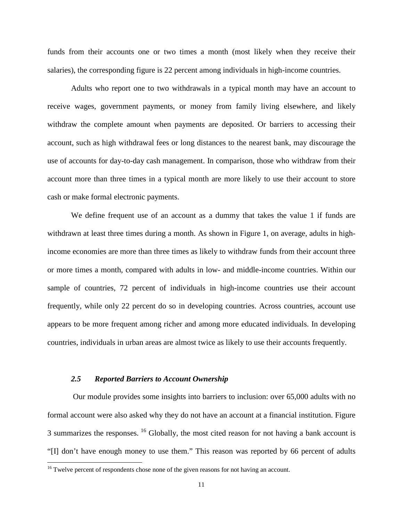funds from their accounts one or two times a month (most likely when they receive their salaries), the corresponding figure is 22 percent among individuals in high-income countries.

Adults who report one to two withdrawals in a typical month may have an account to receive wages, government payments, or money from family living elsewhere, and likely withdraw the complete amount when payments are deposited. Or barriers to accessing their account, such as high withdrawal fees or long distances to the nearest bank, may discourage the use of accounts for day-to-day cash management. In comparison, those who withdraw from their account more than three times in a typical month are more likely to use their account to store cash or make formal electronic payments.

We define frequent use of an account as a dummy that takes the value 1 if funds are withdrawn at least three times during a month. As shown in Figure 1, on average, adults in highincome economies are more than three times as likely to withdraw funds from their account three or more times a month, compared with adults in low- and middle-income countries. Within our sample of countries, 72 percent of individuals in high-income countries use their account frequently, while only 22 percent do so in developing countries. Across countries, account use appears to be more frequent among richer and among more educated individuals. In developing countries, individuals in urban areas are almost twice as likely to use their accounts frequently.

#### *2.5 Reported Barriers to Account Ownership*

l

Our module provides some insights into barriers to inclusion: over 65,000 adults with no formal account were also asked why they do not have an account at a financial institution. Figure 3 summarizes the responses.  $^{16}$  $^{16}$  $^{16}$  Globally, the most cited reason for not having a bank account is "[I] don't have enough money to use them." This reason was reported by 66 percent of adults

<span id="page-12-0"></span><sup>&</sup>lt;sup>16</sup> Twelve percent of respondents chose none of the given reasons for not having an account.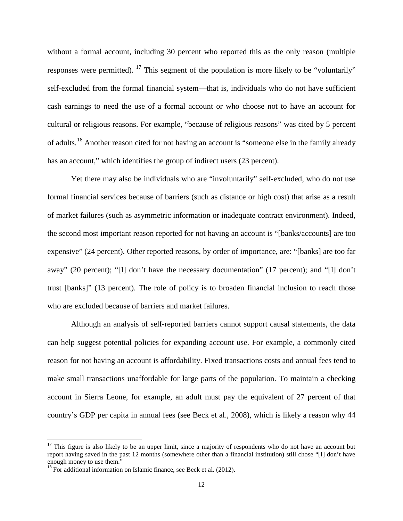without a formal account, including 30 percent who reported this as the only reason (multiple responses were permitted). <sup>[17](#page-13-0)</sup> This segment of the population is more likely to be "voluntarily" self-excluded from the formal financial system—that is, individuals who do not have sufficient cash earnings to need the use of a formal account or who choose not to have an account for cultural or religious reasons. For example, "because of religious reasons" was cited by 5 percent of adults.<sup>[18](#page-13-1)</sup> Another reason cited for not having an account is "someone else in the family already has an account," which identifies the group of indirect users (23 percent).

Yet there may also be individuals who are "involuntarily" self-excluded, who do not use formal financial services because of barriers (such as distance or high cost) that arise as a result of market failures (such as asymmetric information or inadequate contract environment). Indeed, the second most important reason reported for not having an account is "[banks/accounts] are too expensive" (24 percent). Other reported reasons, by order of importance, are: "[banks] are too far away" (20 percent); "[I] don't have the necessary documentation" (17 percent); and "[I] don't trust [banks]" (13 percent). The role of policy is to broaden financial inclusion to reach those who are excluded because of barriers and market failures.

Although an analysis of self-reported barriers cannot support causal statements, the data can help suggest potential policies for expanding account use. For example, a commonly cited reason for not having an account is affordability. Fixed transactions costs and annual fees tend to make small transactions unaffordable for large parts of the population. To maintain a checking account in Sierra Leone, for example, an adult must pay the equivalent of 27 percent of that country's GDP per capita in annual fees (see Beck et al., 2008), which is likely a reason why 44

<span id="page-13-0"></span> $17$  This figure is also likely to be an upper limit, since a majority of respondents who do not have an account but report having saved in the past 12 months (somewhere other than a financial institution) still chose "[I] don't have

<span id="page-13-1"></span> $^{18}$  For additional information on Islamic finance, see Beck et al. (2012).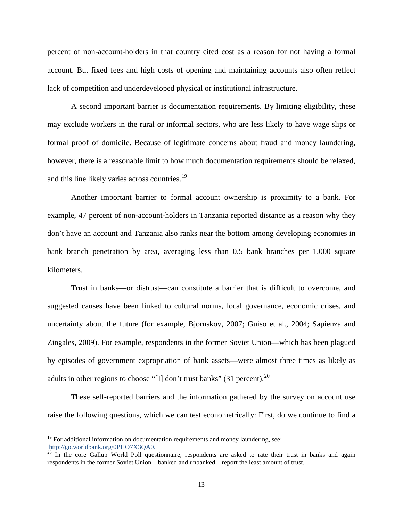percent of non-account-holders in that country cited cost as a reason for not having a formal account. But fixed fees and high costs of opening and maintaining accounts also often reflect lack of competition and underdeveloped physical or institutional infrastructure.

A second important barrier is documentation requirements. By limiting eligibility, these may exclude workers in the rural or informal sectors, who are less likely to have wage slips or formal proof of domicile. Because of legitimate concerns about fraud and money laundering, however, there is a reasonable limit to how much documentation requirements should be relaxed, and this line likely varies across countries.<sup>[19](#page-14-0)</sup>

Another important barrier to formal account ownership is proximity to a bank. For example, 47 percent of non-account-holders in Tanzania reported distance as a reason why they don't have an account and Tanzania also ranks near the bottom among developing economies in bank branch penetration by area, averaging less than 0.5 bank branches per 1,000 square kilometers.

Trust in banks—or distrust—can constitute a barrier that is difficult to overcome, and suggested causes have been linked to cultural norms, local governance, economic crises, and uncertainty about the future (for example, Bjornskov, 2007; Guiso et al., 2004; Sapienza and Zingales, 2009). For example, respondents in the former Soviet Union—which has been plagued by episodes of government expropriation of bank assets—were almost three times as likely as adults in other regions to choose "[I] don't trust banks" (31 percent).<sup>20</sup>

These self-reported barriers and the information gathered by the survey on account use raise the following questions, which we can test econometrically: First, do we continue to find a

 $\overline{\phantom{a}}$ 

<span id="page-14-0"></span> $19$  For additional information on documentation requirements and money laundering, see: [http://go.worldbank.org/0PHO7X3QA0.](http://go.worldbank.org/0PHO7X3QA0)<br><sup>20</sup> In the core Gallup World Poll questionnaire, respondents are asked to rate their trust in banks and again

<span id="page-14-1"></span>respondents in the former Soviet Union—banked and unbanked—report the least amount of trust.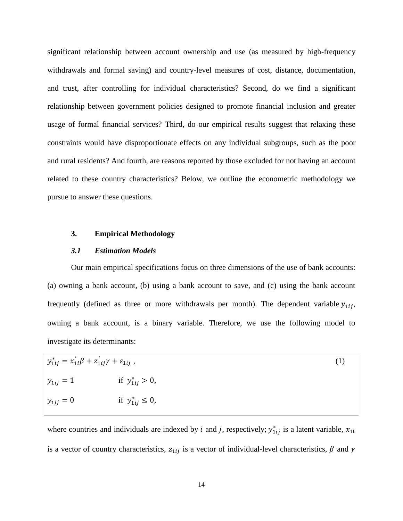significant relationship between account ownership and use (as measured by high-frequency withdrawals and formal saving) and country-level measures of cost, distance, documentation, and trust, after controlling for individual characteristics? Second, do we find a significant relationship between government policies designed to promote financial inclusion and greater usage of formal financial services? Third, do our empirical results suggest that relaxing these constraints would have disproportionate effects on any individual subgroups, such as the poor and rural residents? And fourth, are reasons reported by those excluded for not having an account related to these country characteristics? Below, we outline the econometric methodology we pursue to answer these questions.

#### **3. Empirical Methodology**

#### *3.1 Estimation Models*

Our main empirical specifications focus on three dimensions of the use of bank accounts: (a) owning a bank account, (b) using a bank account to save, and (c) using the bank account frequently (defined as three or more withdrawals per month). The dependent variable  $y_{1ij}$ , owning a bank account, is a binary variable. Therefore, we use the following model to investigate its determinants:

| $y_{1ij}^* = x_{1i}'\beta + z_{1ij}'\gamma + \varepsilon_{1ij}$ , |                         | (1) |
|-------------------------------------------------------------------|-------------------------|-----|
| $y_{1ij} = 1$                                                     | if $y_{1ij}^* > 0$ ,    |     |
| $y_{1ij} = 0$                                                     | if $y_{1ij}^* \leq 0$ , |     |

where countries and individuals are indexed by *i* and *j*, respectively;  $y_{1ij}^*$  is a latent variable,  $x_{1i}$ is a vector of country characteristics,  $z_{1ij}$  is a vector of individual-level characteristics,  $\beta$  and  $\gamma$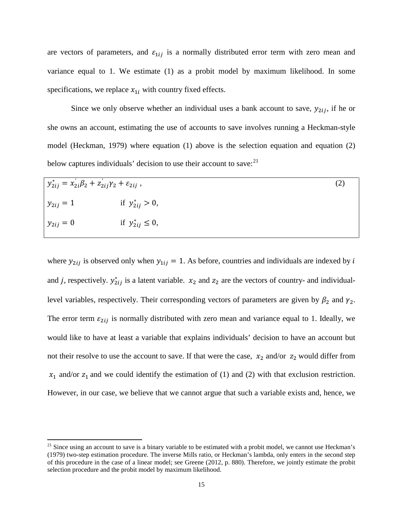are vectors of parameters, and  $\varepsilon_{1ij}$  is a normally distributed error term with zero mean and variance equal to 1. We estimate (1) as a probit model by maximum likelihood. In some specifications, we replace  $x_{1i}$  with country fixed effects.

Since we only observe whether an individual uses a bank account to save,  $y_{2ij}$ , if he or she owns an account, estimating the use of accounts to save involves running a Heckman-style model (Heckman, 1979) where equation (1) above is the selection equation and equation (2) below captures individuals' decision to use their account to save: $^{21}$  $^{21}$  $^{21}$ 

| $y_{2ij}^* = x_{2i}'\beta_2 + z_{2ij}'\gamma_2 + \varepsilon_{2ij}$ , |                         | (2) |
|-----------------------------------------------------------------------|-------------------------|-----|
| $y_{2ij} = 1$                                                         | if $y_{2ij}^* > 0$ ,    |     |
| $y_{2ij} = 0$                                                         | if $y_{2ij}^* \leq 0$ , |     |

where  $y_{2ij}$  is observed only when  $y_{1ij} = 1$ . As before, countries and individuals are indexed by i and *j*, respectively.  $y_{2ij}^*$  is a latent variable.  $x_2$  and  $z_2$  are the vectors of country- and individuallevel variables, respectively. Their corresponding vectors of parameters are given by  $\beta_2$  and  $\gamma_2$ . The error term  $\varepsilon_{2ij}$  is normally distributed with zero mean and variance equal to 1. Ideally, we would like to have at least a variable that explains individuals' decision to have an account but not their resolve to use the account to save. If that were the case,  $x_2$  and/or  $z_2$  would differ from  $x_1$  and/or  $z_1$  and we could identify the estimation of (1) and (2) with that exclusion restriction. However, in our case, we believe that we cannot argue that such a variable exists and, hence, we

<span id="page-16-0"></span> $21$  Since using an account to save is a binary variable to be estimated with a probit model, we cannot use Heckman's (1979) two-step estimation procedure. The inverse Mills ratio, or Heckman's lambda, only enters in the second step of this procedure in the case of a linear model; see Greene (2012, p. 880). Therefore, we jointly estimate the probit selection procedure and the probit model by maximum likelihood.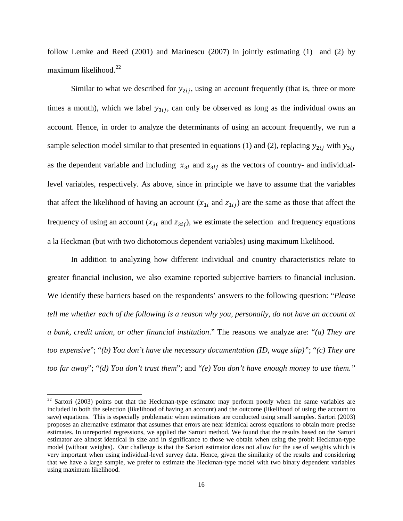follow Lemke and Reed (2001) and Marinescu (2007) in jointly estimating (1) and (2) by maximum likelihood.<sup>[22](#page-17-0)</sup>

Similar to what we described for  $y_{2ij}$ , using an account frequently (that is, three or more times a month), which we label  $y_{3ij}$ , can only be observed as long as the individual owns an account. Hence, in order to analyze the determinants of using an account frequently, we run a sample selection model similar to that presented in equations (1) and (2), replacing  $y_{2ij}$  with  $y_{3ij}$ as the dependent variable and including  $x_{3i}$  and  $z_{3ij}$  as the vectors of country- and individuallevel variables, respectively. As above, since in principle we have to assume that the variables that affect the likelihood of having an account  $(x_{1i}$  and  $z_{1ii})$  are the same as those that affect the frequency of using an account  $(x_{3i}$  and  $z_{3ij}$ ), we estimate the selection and frequency equations a la Heckman (but with two dichotomous dependent variables) using maximum likelihood.

In addition to analyzing how different individual and country characteristics relate to greater financial inclusion, we also examine reported subjective barriers to financial inclusion. We identify these barriers based on the respondents' answers to the following question: "*Please tell me whether each of the following is a reason why you, personally, do not have an account at a bank, credit union, or other financial institution*." The reasons we analyze are: "*(a) They are too expensive*"; "*(b) You don't have the necessary documentation (ID, wage slip)"*; "*(c) They are too far away*"; "*(d) You don't trust them*"; and "*(e) You don't have enough money to use them."*

<span id="page-17-0"></span> $22$  Sartori (2003) points out that the Heckman-type estimator may perform poorly when the same variables are included in both the selection (likelihood of having an account) and the outcome (likelihood of using the account to save) equations. This is especially problematic when estimations are conducted using small samples. Sartori (2003) proposes an alternative estimator that assumes that errors are near identical across equations to obtain more precise estimates. In unreported regressions, we applied the Sartori method. We found that the results based on the Sartori estimator are almost identical in size and in significance to those we obtain when using the probit Heckman-type model (without weights). Our challenge is that the Sartori estimator does not allow for the use of weights which is very important when using individual-level survey data. Hence, given the similarity of the results and considering that we have a large sample, we prefer to estimate the Heckman-type model with two binary dependent variables using maximum likelihood.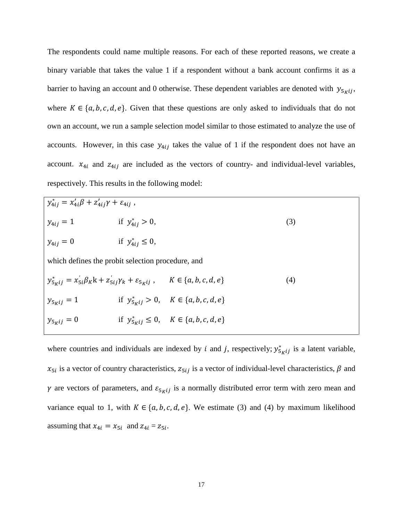The respondents could name multiple reasons. For each of these reported reasons, we create a binary variable that takes the value 1 if a respondent without a bank account confirms it as a barrier to having an account and 0 otherwise. These dependent variables are denoted with  $y_{5\kappa i}$ , where  $K \in \{a, b, c, d, e\}$ . Given that these questions are only asked to individuals that do not own an account, we run a sample selection model similar to those estimated to analyze the use of accounts. However, in this case  $y_{4ij}$  takes the value of 1 if the respondent does not have an account.  $x_{4i}$  and  $z_{4ij}$  are included as the vectors of country- and individual-level variables, respectively. This results in the following model:

| $y_{4ij}^* = x_{4i}'\beta + z_{4ij}'\gamma + \varepsilon_{4ij}$ ,                                               |                         |                                                         |     |  |
|-----------------------------------------------------------------------------------------------------------------|-------------------------|---------------------------------------------------------|-----|--|
| $y_{4ij} = 1$                                                                                                   | if $y_{4ij}^* > 0$ ,    |                                                         | (3) |  |
| $y_{4ij} = 0$                                                                                                   | if $y_{4ij}^* \leq 0$ , |                                                         |     |  |
| which defines the probit selection procedure, and                                                               |                         |                                                         |     |  |
| $y_{5\kappa ij}^* = x_{5i} \beta_K k + z_{5ij} \gamma_k + \varepsilon_{5\kappa ij}$ , $K \in \{a, b, c, d, e\}$ |                         |                                                         | (4) |  |
| $y_{5\chi ij} = 1$                                                                                              |                         | if $y^*_{5 \kappa i j} > 0$ , $K \in \{a, b, c, d, e\}$ |     |  |
| $y_{5\kappa ij} = 0$                                                                                            |                         | if $y_{5k}^*$ $\leq 0$ , $K \in \{a, b, c, d, e\}$      |     |  |

where countries and individuals are indexed by *i* and *j*, respectively;  $y_{5}^{*}$  is a latent variable,  $x_{5i}$  is a vector of country characteristics,  $z_{5ij}$  is a vector of individual-level characteristics,  $\beta$  and  $\gamma$  are vectors of parameters, and  $\varepsilon_{5\kappa ij}$  is a normally distributed error term with zero mean and variance equal to 1, with  $K \in \{a, b, c, d, e\}$ . We estimate (3) and (4) by maximum likelihood assuming that  $x_{4i} = x_{5i}$  and  $z_{4i} = z_{5i}$ .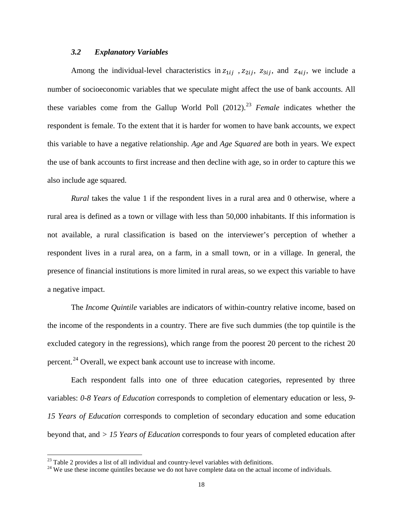#### *3.2 Explanatory Variables*

Among the individual-level characteristics in  $z_{1ij}$ ,  $z_{2ij}$ ,  $z_{3ij}$ , and  $z_{4ij}$ , we include a number of socioeconomic variables that we speculate might affect the use of bank accounts. All these variables come from the Gallup World Poll  $(2012)$ .<sup>[23](#page-19-0)</sup> *Female* indicates whether the respondent is female. To the extent that it is harder for women to have bank accounts, we expect this variable to have a negative relationship. *Age* and *Age Squared* are both in years. We expect the use of bank accounts to first increase and then decline with age, so in order to capture this we also include age squared.

*Rural* takes the value 1 if the respondent lives in a rural area and 0 otherwise, where a rural area is defined as a town or village with less than 50,000 inhabitants. If this information is not available, a rural classification is based on the interviewer's perception of whether a respondent lives in a rural area, on a farm, in a small town, or in a village. In general, the presence of financial institutions is more limited in rural areas, so we expect this variable to have a negative impact.

The *Income Quintile* variables are indicators of within-country relative income, based on the income of the respondents in a country. There are five such dummies (the top quintile is the excluded category in the regressions), which range from the poorest 20 percent to the richest 20 percent.<sup>[24](#page-19-1)</sup> Overall, we expect bank account use to increase with income.

Each respondent falls into one of three education categories, represented by three variables: *0-8 Years of Education* corresponds to completion of elementary education or less, *9- 15 Years of Education* corresponds to completion of secondary education and some education beyond that, and *> 15 Years of Education* corresponds to four years of completed education after

<span id="page-19-0"></span> $^{23}$  Table 2 provides a list of all individual and country-level variables with definitions.

<span id="page-19-1"></span><sup>&</sup>lt;sup>24</sup> We use these income quintiles because we do not have complete data on the actual income of individuals.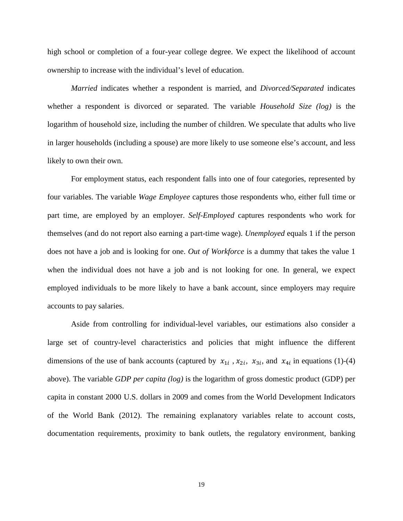high school or completion of a four-year college degree. We expect the likelihood of account ownership to increase with the individual's level of education.

*Married* indicates whether a respondent is married, and *Divorced/Separated* indicates whether a respondent is divorced or separated. The variable *Household Size (log)* is the logarithm of household size, including the number of children. We speculate that adults who live in larger households (including a spouse) are more likely to use someone else's account, and less likely to own their own.

For employment status, each respondent falls into one of four categories, represented by four variables. The variable *Wage Employee* captures those respondents who, either full time or part time, are employed by an employer. *Self-Employed* captures respondents who work for themselves (and do not report also earning a part-time wage). *Unemployed* equals 1 if the person does not have a job and is looking for one. *Out of Workforce* is a dummy that takes the value 1 when the individual does not have a job and is not looking for one*.* In general, we expect employed individuals to be more likely to have a bank account, since employers may require accounts to pay salaries.

Aside from controlling for individual-level variables, our estimations also consider a large set of country-level characteristics and policies that might influence the different dimensions of the use of bank accounts (captured by  $x_{1i}$ ,  $x_{2i}$ ,  $x_{3i}$ , and  $x_{4i}$  in equations (1)-(4) above). The variable *GDP per capita (log)* is the logarithm of gross domestic product (GDP) per capita in constant 2000 U.S. dollars in 2009 and comes from the World Development Indicators of the World Bank (2012). The remaining explanatory variables relate to account costs, documentation requirements, proximity to bank outlets, the regulatory environment, banking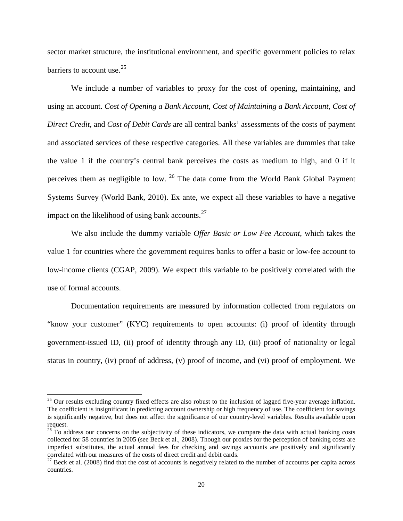sector market structure, the institutional environment, and specific government policies to relax barriers to account use.  $25$ 

We include a number of variables to proxy for the cost of opening, maintaining, and using an account. *Cost of Opening a Bank Account*, *Cost of Maintaining a Bank Account*, *Cost of Direct Credit*, and *Cost of Debit Cards* are all central banks' assessments of the costs of payment and associated services of these respective categories. All these variables are dummies that take the value 1 if the country's central bank perceives the costs as medium to high, and 0 if it perceives them as negligible to low. [26](#page-21-1) The data come from the World Bank Global Payment Systems Survey (World Bank, 2010). Ex ante, we expect all these variables to have a negative impact on the likelihood of using bank accounts. $27$ 

We also include the dummy variable *Offer Basic or Low Fee Account*, which takes the value 1 for countries where the government requires banks to offer a basic or low-fee account to low-income clients (CGAP, 2009). We expect this variable to be positively correlated with the use of formal accounts.

Documentation requirements are measured by information collected from regulators on "know your customer" (KYC) requirements to open accounts: (i) proof of identity through government-issued ID, (ii) proof of identity through any ID, (iii) proof of nationality or legal status in country, (iv) proof of address, (v) proof of income, and (vi) proof of employment. We

<span id="page-21-0"></span> $25$  Our results excluding country fixed effects are also robust to the inclusion of lagged five-year average inflation. The coefficient is insignificant in predicting account ownership or high frequency of use. The coefficient for savings is significantly negative, but does not affect the significance of our country-level variables. Results available upon request.

<span id="page-21-1"></span> $26$  To address our concerns on the subjectivity of these indicators, we compare the data with actual banking costs collected for 58 countries in 2005 (see Beck et al., 2008). Though our proxies for the perception of banking costs are imperfect substitutes, the actual annual fees for checking and savings accounts are positively and significantly correlated with our measures of the costs of direct credit and debit cards.

<span id="page-21-2"></span> $27$  Beck et al. (2008) find that the cost of accounts is negatively related to the number of accounts per capita across countries.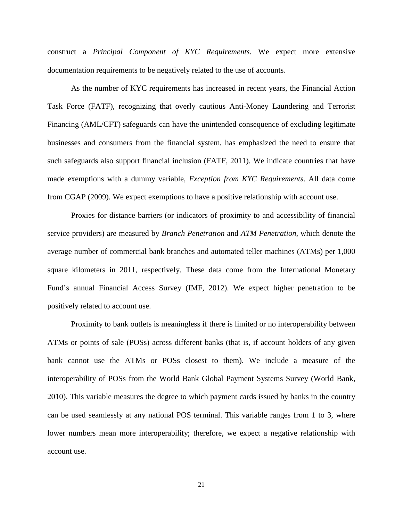construct a *Principal Component of KYC Requirements.* We expect more extensive documentation requirements to be negatively related to the use of accounts.

As the number of KYC requirements has increased in recent years, the Financial Action Task Force (FATF), recognizing that overly cautious Anti-Money Laundering and Terrorist Financing (AML/CFT) safeguards can have the unintended consequence of excluding legitimate businesses and consumers from the financial system, has emphasized the need to ensure that such safeguards also support financial inclusion (FATF, 2011). We indicate countries that have made exemptions with a dummy variable, *Exception from KYC Requirements*. All data come from CGAP (2009). We expect exemptions to have a positive relationship with account use.

Proxies for distance barriers (or indicators of proximity to and accessibility of financial service providers) are measured by *Branch Penetration* and *ATM Penetration*, which denote the average number of commercial bank branches and automated teller machines (ATMs) per 1,000 square kilometers in 2011, respectively. These data come from the International Monetary Fund's annual Financial Access Survey (IMF, 2012). We expect higher penetration to be positively related to account use.

Proximity to bank outlets is meaningless if there is limited or no interoperability between ATMs or points of sale (POSs) across different banks (that is, if account holders of any given bank cannot use the ATMs or POSs closest to them). We include a measure of the interoperability of POSs from the World Bank Global Payment Systems Survey (World Bank, 2010). This variable measures the degree to which payment cards issued by banks in the country can be used seamlessly at any national POS terminal. This variable ranges from 1 to 3, where lower numbers mean more interoperability; therefore, we expect a negative relationship with account use.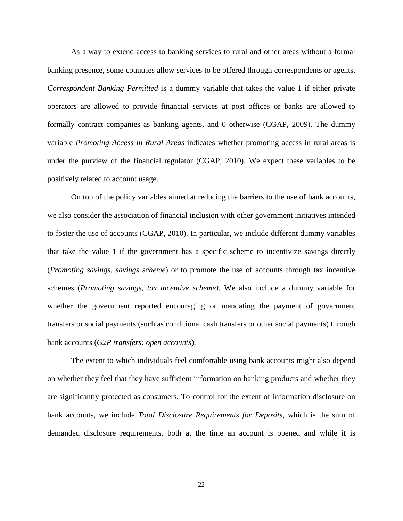As a way to extend access to banking services to rural and other areas without a formal banking presence, some countries allow services to be offered through correspondents or agents. *Correspondent Banking Permitted* is a dummy variable that takes the value 1 if either private operators are allowed to provide financial services at post offices or banks are allowed to formally contract companies as banking agents, and 0 otherwise (CGAP, 2009). The dummy variable *Promoting Access in Rural Areas* indicates whether promoting access in rural areas is under the purview of the financial regulator (CGAP, 2010). We expect these variables to be positively related to account usage.

On top of the policy variables aimed at reducing the barriers to the use of bank accounts, we also consider the association of financial inclusion with other government initiatives intended to foster the use of accounts (CGAP, 2010). In particular, we include different dummy variables that take the value 1 if the government has a specific scheme to incentivize savings directly (*Promoting savings, savings scheme*) or to promote the use of accounts through tax incentive schemes (*Promoting savings, tax incentive scheme)*. We also include a dummy variable for whether the government reported encouraging or mandating the payment of government transfers or social payments (such as conditional cash transfers or other social payments) through bank accounts (*G2P transfers: open accounts*).

The extent to which individuals feel comfortable using bank accounts might also depend on whether they feel that they have sufficient information on banking products and whether they are significantly protected as consumers. To control for the extent of information disclosure on bank accounts, we include *Total Disclosure Requirements for Deposits*, which is the sum of demanded disclosure requirements, both at the time an account is opened and while it is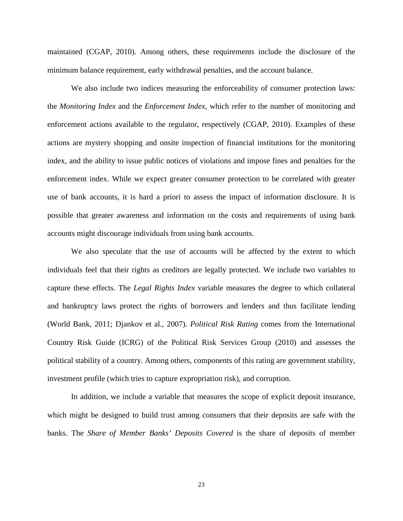maintained (CGAP, 2010). Among others, these requirements include the disclosure of the minimum balance requirement, early withdrawal penalties, and the account balance.

We also include two indices measuring the enforceability of consumer protection laws: the *Monitoring Index* and the *Enforcement Index*, which refer to the number of monitoring and enforcement actions available to the regulator, respectively (CGAP, 2010). Examples of these actions are mystery shopping and onsite inspection of financial institutions for the monitoring index, and the ability to issue public notices of violations and impose fines and penalties for the enforcement index. While we expect greater consumer protection to be correlated with greater use of bank accounts, it is hard a priori to assess the impact of information disclosure. It is possible that greater awareness and information on the costs and requirements of using bank accounts might discourage individuals from using bank accounts.

We also speculate that the use of accounts will be affected by the extent to which individuals feel that their rights as creditors are legally protected. We include two variables to capture these effects. The *Legal Rights Index* variable measures the degree to which collateral and bankruptcy laws protect the rights of borrowers and lenders and thus facilitate lending (World Bank, 2011; Djankov et al., 2007). *Political Risk Rating* comes from the International Country Risk Guide (ICRG) of the Political Risk Services Group (2010) and assesses the political stability of a country. Among others, components of this rating are government stability, investment profile (which tries to capture expropriation risk), and corruption.

In addition, we include a variable that measures the scope of explicit deposit insurance, which might be designed to build trust among consumers that their deposits are safe with the banks. The *Share of Member Banks' Deposits Covered* is the share of deposits of member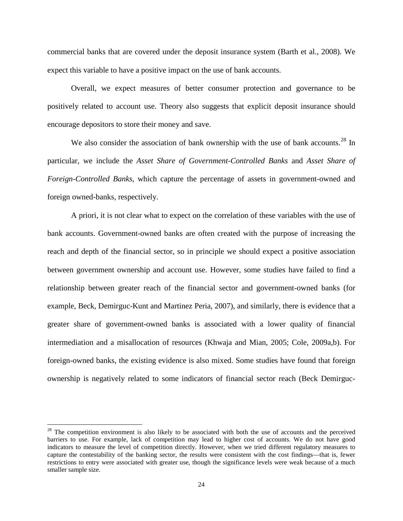commercial banks that are covered under the deposit insurance system (Barth et al., 2008). We expect this variable to have a positive impact on the use of bank accounts.

Overall, we expect measures of better consumer protection and governance to be positively related to account use. Theory also suggests that explicit deposit insurance should encourage depositors to store their money and save.

We also consider the association of bank ownership with the use of bank accounts.<sup>[28](#page-25-0)</sup> In particular, we include the *Asset Share of Government-Controlled Banks* and *Asset Share of Foreign-Controlled Banks*, which capture the percentage of assets in government-owned and foreign owned-banks, respectively.

A priori, it is not clear what to expect on the correlation of these variables with the use of bank accounts. Government-owned banks are often created with the purpose of increasing the reach and depth of the financial sector, so in principle we should expect a positive association between government ownership and account use. However, some studies have failed to find a relationship between greater reach of the financial sector and government-owned banks (for example, Beck, Demirguc-Kunt and Martinez Peria, 2007), and similarly, there is evidence that a greater share of government-owned banks is associated with a lower quality of financial intermediation and a misallocation of resources (Khwaja and Mian, 2005; Cole, 2009a,b). For foreign-owned banks, the existing evidence is also mixed. Some studies have found that foreign ownership is negatively related to some indicators of financial sector reach (Beck Demirguc-

 $\overline{\phantom{a}}$ 

<span id="page-25-0"></span><sup>&</sup>lt;sup>28</sup> The competition environment is also likely to be associated with both the use of accounts and the perceived barriers to use. For example, lack of competition may lead to higher cost of accounts. We do not have good indicators to measure the level of competition directly. However, when we tried different regulatory measures to capture the contestability of the banking sector, the results were consistent with the cost findings—that is, fewer restrictions to entry were associated with greater use, though the significance levels were weak because of a much smaller sample size.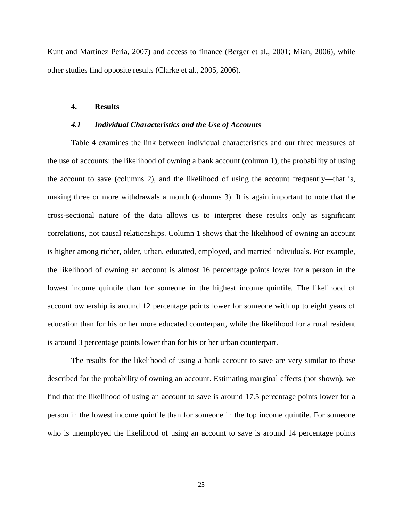Kunt and Martinez Peria, 2007) and access to finance (Berger et al., 2001; Mian, 2006), while other studies find opposite results (Clarke et al., 2005, 2006).

#### **4. Results**

#### *4.1 Individual Characteristics and the Use of Accounts*

Table 4 examines the link between individual characteristics and our three measures of the use of accounts: the likelihood of owning a bank account (column 1), the probability of using the account to save (columns 2), and the likelihood of using the account frequently—that is, making three or more withdrawals a month (columns 3). It is again important to note that the cross-sectional nature of the data allows us to interpret these results only as significant correlations, not causal relationships. Column 1 shows that the likelihood of owning an account is higher among richer, older, urban, educated, employed, and married individuals. For example, the likelihood of owning an account is almost 16 percentage points lower for a person in the lowest income quintile than for someone in the highest income quintile. The likelihood of account ownership is around 12 percentage points lower for someone with up to eight years of education than for his or her more educated counterpart, while the likelihood for a rural resident is around 3 percentage points lower than for his or her urban counterpart.

The results for the likelihood of using a bank account to save are very similar to those described for the probability of owning an account. Estimating marginal effects (not shown), we find that the likelihood of using an account to save is around 17.5 percentage points lower for a person in the lowest income quintile than for someone in the top income quintile. For someone who is unemployed the likelihood of using an account to save is around 14 percentage points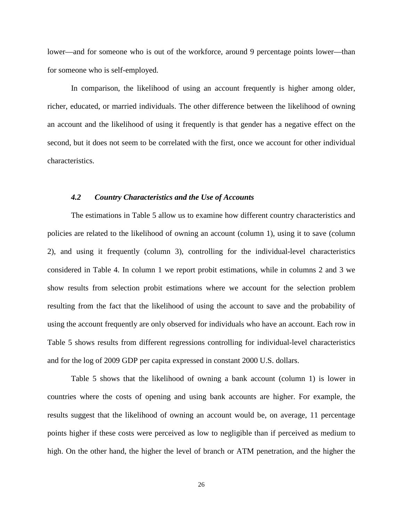lower—and for someone who is out of the workforce, around 9 percentage points lower—than for someone who is self-employed.

In comparison, the likelihood of using an account frequently is higher among older, richer, educated, or married individuals. The other difference between the likelihood of owning an account and the likelihood of using it frequently is that gender has a negative effect on the second, but it does not seem to be correlated with the first, once we account for other individual characteristics.

#### *4.2 Country Characteristics and the Use of Accounts*

The estimations in Table 5 allow us to examine how different country characteristics and policies are related to the likelihood of owning an account (column 1), using it to save (column 2), and using it frequently (column 3), controlling for the individual-level characteristics considered in Table 4. In column 1 we report probit estimations, while in columns 2 and 3 we show results from selection probit estimations where we account for the selection problem resulting from the fact that the likelihood of using the account to save and the probability of using the account frequently are only observed for individuals who have an account. Each row in Table 5 shows results from different regressions controlling for individual-level characteristics and for the log of 2009 GDP per capita expressed in constant 2000 U.S. dollars.

Table 5 shows that the likelihood of owning a bank account (column 1) is lower in countries where the costs of opening and using bank accounts are higher. For example, the results suggest that the likelihood of owning an account would be, on average, 11 percentage points higher if these costs were perceived as low to negligible than if perceived as medium to high. On the other hand, the higher the level of branch or ATM penetration, and the higher the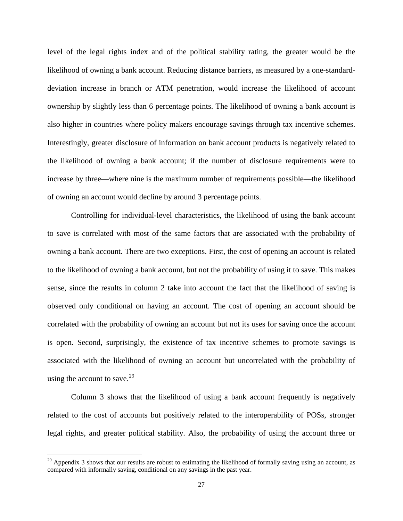level of the legal rights index and of the political stability rating, the greater would be the likelihood of owning a bank account. Reducing distance barriers, as measured by a one-standarddeviation increase in branch or ATM penetration, would increase the likelihood of account ownership by slightly less than 6 percentage points. The likelihood of owning a bank account is also higher in countries where policy makers encourage savings through tax incentive schemes. Interestingly, greater disclosure of information on bank account products is negatively related to the likelihood of owning a bank account; if the number of disclosure requirements were to increase by three—where nine is the maximum number of requirements possible—the likelihood of owning an account would decline by around 3 percentage points.

Controlling for individual-level characteristics, the likelihood of using the bank account to save is correlated with most of the same factors that are associated with the probability of owning a bank account. There are two exceptions. First, the cost of opening an account is related to the likelihood of owning a bank account, but not the probability of using it to save. This makes sense, since the results in column 2 take into account the fact that the likelihood of saving is observed only conditional on having an account. The cost of opening an account should be correlated with the probability of owning an account but not its uses for saving once the account is open. Second, surprisingly, the existence of tax incentive schemes to promote savings is associated with the likelihood of owning an account but uncorrelated with the probability of using the account to save.<sup>[29](#page-28-0)</sup>

Column 3 shows that the likelihood of using a bank account frequently is negatively related to the cost of accounts but positively related to the interoperability of POSs, stronger legal rights, and greater political stability. Also, the probability of using the account three or

<span id="page-28-0"></span> $29$  Appendix 3 shows that our results are robust to estimating the likelihood of formally saving using an account, as compared with informally saving, conditional on any savings in the past year.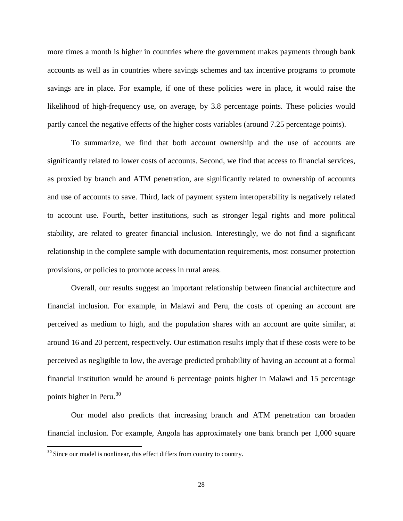more times a month is higher in countries where the government makes payments through bank accounts as well as in countries where savings schemes and tax incentive programs to promote savings are in place. For example, if one of these policies were in place, it would raise the likelihood of high-frequency use, on average, by 3.8 percentage points. These policies would partly cancel the negative effects of the higher costs variables (around 7.25 percentage points).

To summarize, we find that both account ownership and the use of accounts are significantly related to lower costs of accounts. Second, we find that access to financial services, as proxied by branch and ATM penetration, are significantly related to ownership of accounts and use of accounts to save. Third, lack of payment system interoperability is negatively related to account use. Fourth, better institutions, such as stronger legal rights and more political stability, are related to greater financial inclusion. Interestingly, we do not find a significant relationship in the complete sample with documentation requirements, most consumer protection provisions, or policies to promote access in rural areas.

Overall, our results suggest an important relationship between financial architecture and financial inclusion. For example, in Malawi and Peru, the costs of opening an account are perceived as medium to high, and the population shares with an account are quite similar, at around 16 and 20 percent, respectively. Our estimation results imply that if these costs were to be perceived as negligible to low, the average predicted probability of having an account at a formal financial institution would be around 6 percentage points higher in Malawi and 15 percentage points higher in Peru. $30$ 

Our model also predicts that increasing branch and ATM penetration can broaden financial inclusion. For example, Angola has approximately one bank branch per 1,000 square

<span id="page-29-0"></span> $30$  Since our model is nonlinear, this effect differs from country to country.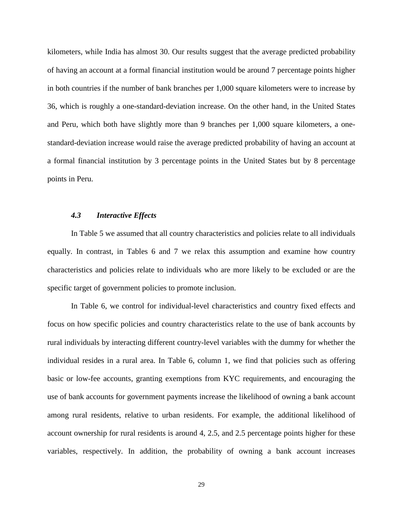kilometers, while India has almost 30. Our results suggest that the average predicted probability of having an account at a formal financial institution would be around 7 percentage points higher in both countries if the number of bank branches per 1,000 square kilometers were to increase by 36, which is roughly a one-standard-deviation increase. On the other hand, in the United States and Peru, which both have slightly more than 9 branches per 1,000 square kilometers, a onestandard-deviation increase would raise the average predicted probability of having an account at a formal financial institution by 3 percentage points in the United States but by 8 percentage points in Peru.

#### *4.3 Interactive Effects*

In Table 5 we assumed that all country characteristics and policies relate to all individuals equally. In contrast, in Tables 6 and 7 we relax this assumption and examine how country characteristics and policies relate to individuals who are more likely to be excluded or are the specific target of government policies to promote inclusion.

In Table 6, we control for individual-level characteristics and country fixed effects and focus on how specific policies and country characteristics relate to the use of bank accounts by rural individuals by interacting different country-level variables with the dummy for whether the individual resides in a rural area. In Table 6, column 1, we find that policies such as offering basic or low-fee accounts, granting exemptions from KYC requirements, and encouraging the use of bank accounts for government payments increase the likelihood of owning a bank account among rural residents, relative to urban residents. For example, the additional likelihood of account ownership for rural residents is around 4, 2.5, and 2.5 percentage points higher for these variables, respectively. In addition, the probability of owning a bank account increases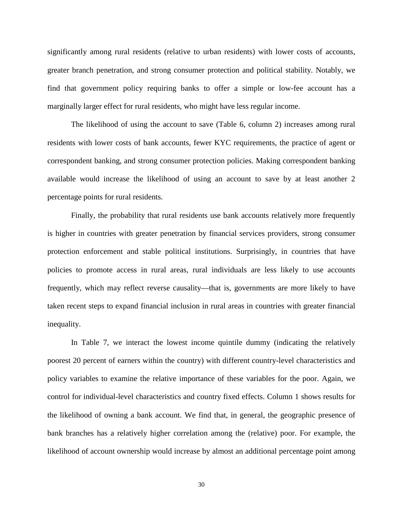significantly among rural residents (relative to urban residents) with lower costs of accounts, greater branch penetration, and strong consumer protection and political stability. Notably, we find that government policy requiring banks to offer a simple or low-fee account has a marginally larger effect for rural residents, who might have less regular income.

The likelihood of using the account to save (Table 6, column 2) increases among rural residents with lower costs of bank accounts, fewer KYC requirements, the practice of agent or correspondent banking, and strong consumer protection policies. Making correspondent banking available would increase the likelihood of using an account to save by at least another 2 percentage points for rural residents.

Finally, the probability that rural residents use bank accounts relatively more frequently is higher in countries with greater penetration by financial services providers, strong consumer protection enforcement and stable political institutions. Surprisingly, in countries that have policies to promote access in rural areas, rural individuals are less likely to use accounts frequently, which may reflect reverse causality—that is, governments are more likely to have taken recent steps to expand financial inclusion in rural areas in countries with greater financial inequality.

In Table 7, we interact the lowest income quintile dummy (indicating the relatively poorest 20 percent of earners within the country) with different country-level characteristics and policy variables to examine the relative importance of these variables for the poor. Again, we control for individual-level characteristics and country fixed effects. Column 1 shows results for the likelihood of owning a bank account. We find that, in general, the geographic presence of bank branches has a relatively higher correlation among the (relative) poor. For example, the likelihood of account ownership would increase by almost an additional percentage point among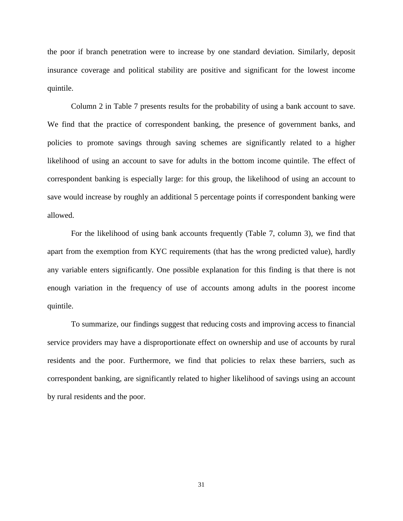the poor if branch penetration were to increase by one standard deviation. Similarly, deposit insurance coverage and political stability are positive and significant for the lowest income quintile.

Column 2 in Table 7 presents results for the probability of using a bank account to save. We find that the practice of correspondent banking, the presence of government banks, and policies to promote savings through saving schemes are significantly related to a higher likelihood of using an account to save for adults in the bottom income quintile. The effect of correspondent banking is especially large: for this group, the likelihood of using an account to save would increase by roughly an additional 5 percentage points if correspondent banking were allowed.

For the likelihood of using bank accounts frequently (Table 7, column 3), we find that apart from the exemption from KYC requirements (that has the wrong predicted value), hardly any variable enters significantly. One possible explanation for this finding is that there is not enough variation in the frequency of use of accounts among adults in the poorest income quintile.

To summarize, our findings suggest that reducing costs and improving access to financial service providers may have a disproportionate effect on ownership and use of accounts by rural residents and the poor. Furthermore, we find that policies to relax these barriers, such as correspondent banking, are significantly related to higher likelihood of savings using an account by rural residents and the poor.

31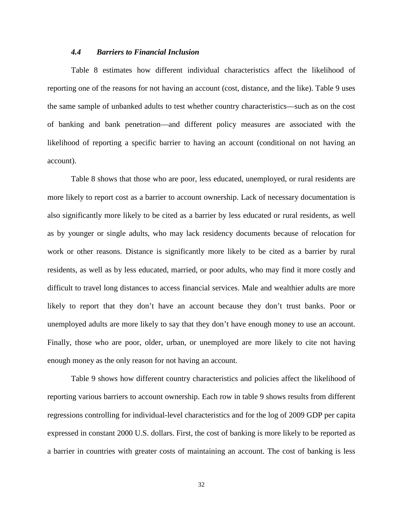#### *4.4 Barriers to Financial Inclusion*

Table 8 estimates how different individual characteristics affect the likelihood of reporting one of the reasons for not having an account (cost, distance, and the like). Table 9 uses the same sample of unbanked adults to test whether country characteristics—such as on the cost of banking and bank penetration—and different policy measures are associated with the likelihood of reporting a specific barrier to having an account (conditional on not having an account).

Table 8 shows that those who are poor, less educated, unemployed, or rural residents are more likely to report cost as a barrier to account ownership. Lack of necessary documentation is also significantly more likely to be cited as a barrier by less educated or rural residents, as well as by younger or single adults, who may lack residency documents because of relocation for work or other reasons. Distance is significantly more likely to be cited as a barrier by rural residents, as well as by less educated, married, or poor adults, who may find it more costly and difficult to travel long distances to access financial services. Male and wealthier adults are more likely to report that they don't have an account because they don't trust banks. Poor or unemployed adults are more likely to say that they don't have enough money to use an account. Finally, those who are poor, older, urban, or unemployed are more likely to cite not having enough money as the only reason for not having an account.

Table 9 shows how different country characteristics and policies affect the likelihood of reporting various barriers to account ownership. Each row in table 9 shows results from different regressions controlling for individual-level characteristics and for the log of 2009 GDP per capita expressed in constant 2000 U.S. dollars. First, the cost of banking is more likely to be reported as a barrier in countries with greater costs of maintaining an account. The cost of banking is less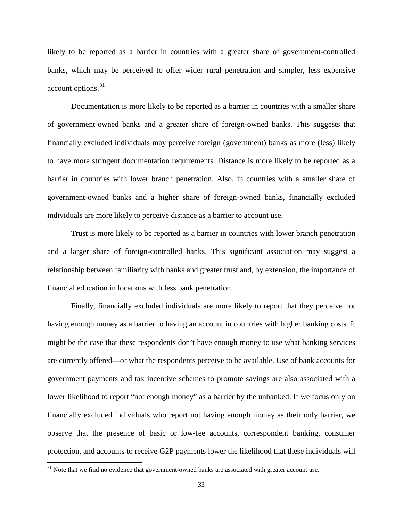likely to be reported as a barrier in countries with a greater share of government-controlled banks, which may be perceived to offer wider rural penetration and simpler, less expensive  $account$  options.  $31$ 

Documentation is more likely to be reported as a barrier in countries with a smaller share of government-owned banks and a greater share of foreign-owned banks. This suggests that financially excluded individuals may perceive foreign (government) banks as more (less) likely to have more stringent documentation requirements. Distance is more likely to be reported as a barrier in countries with lower branch penetration. Also, in countries with a smaller share of government-owned banks and a higher share of foreign-owned banks, financially excluded individuals are more likely to perceive distance as a barrier to account use.

Trust is more likely to be reported as a barrier in countries with lower branch penetration and a larger share of foreign-controlled banks. This significant association may suggest a relationship between familiarity with banks and greater trust and, by extension, the importance of financial education in locations with less bank penetration.

Finally, financially excluded individuals are more likely to report that they perceive not having enough money as a barrier to having an account in countries with higher banking costs. It might be the case that these respondents don't have enough money to use what banking services are currently offered—or what the respondents perceive to be available. Use of bank accounts for government payments and tax incentive schemes to promote savings are also associated with a lower likelihood to report "not enough money" as a barrier by the unbanked. If we focus only on financially excluded individuals who report not having enough money as their only barrier, we observe that the presence of basic or low-fee accounts, correspondent banking, consumer protection, and accounts to receive G2P payments lower the likelihood that these individuals will

<span id="page-34-0"></span><sup>&</sup>lt;sup>31</sup> Note that we find no evidence that government-owned banks are associated with greater account use.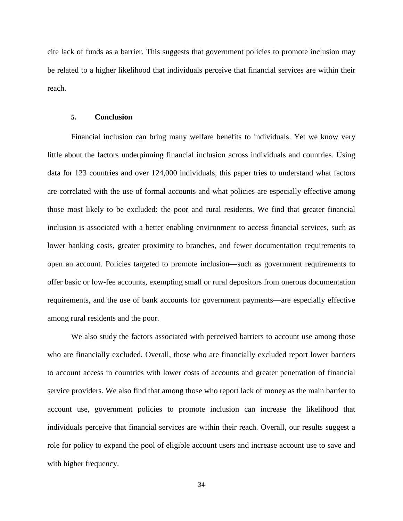cite lack of funds as a barrier. This suggests that government policies to promote inclusion may be related to a higher likelihood that individuals perceive that financial services are within their reach.

#### **5. Conclusion**

Financial inclusion can bring many welfare benefits to individuals. Yet we know very little about the factors underpinning financial inclusion across individuals and countries. Using data for 123 countries and over 124,000 individuals, this paper tries to understand what factors are correlated with the use of formal accounts and what policies are especially effective among those most likely to be excluded: the poor and rural residents. We find that greater financial inclusion is associated with a better enabling environment to access financial services, such as lower banking costs, greater proximity to branches, and fewer documentation requirements to open an account. Policies targeted to promote inclusion—such as government requirements to offer basic or low-fee accounts, exempting small or rural depositors from onerous documentation requirements, and the use of bank accounts for government payments—are especially effective among rural residents and the poor.

We also study the factors associated with perceived barriers to account use among those who are financially excluded. Overall, those who are financially excluded report lower barriers to account access in countries with lower costs of accounts and greater penetration of financial service providers. We also find that among those who report lack of money as the main barrier to account use, government policies to promote inclusion can increase the likelihood that individuals perceive that financial services are within their reach. Overall, our results suggest a role for policy to expand the pool of eligible account users and increase account use to save and with higher frequency.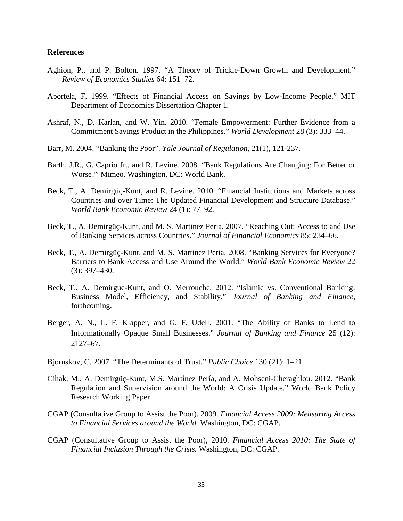#### **References**

- Aghion, P., and P. Bolton. 1997. "A Theory of Trickle-Down Growth and Development." *Review of Economics Studies* 64: 151–72.
- Aportela, F. 1999. "Effects of Financial Access on Savings by Low-Income People." MIT Department of Economics Dissertation Chapter 1.
- Ashraf, N., D. Karlan, and W. Yin. 2010. "Female Empowerment: Further Evidence from a Commitment Savings Product in the Philippines." *World Development* 28 (3): 333–44.
- Barr, M. 2004. "Banking the Poor". *Yale Journal of Regulation*, 21(1), 121-237.
- Barth, J.R., G. Caprio Jr., and R. Levine. 2008. "Bank Regulations Are Changing: For Better or Worse?" Mimeo. Washington, DC: World Bank.
- Beck, T., A. Demirgüç-Kunt, and R. Levine. 2010. "Financial Institutions and Markets across Countries and over Time: The Updated Financial Development and Structure Database." *World Bank Economic Review* 24 (1): 77–92.
- Beck, T., A. Demirgüç-Kunt, and M. S. Martinez Peria. 2007. "Reaching Out: Access to and Use of Banking Services across Countries." *Journal of Financial Economics* 85: 234–66.
- Beck, T., A. Demirgüç-Kunt, and M. S. Martinez Peria. 2008. "Banking Services for Everyone? Barriers to Bank Access and Use Around the World." *World Bank Economic Review* 22 (3): 397–430.
- Beck, T., A. Demirguc-Kunt, and O. Merrouche. 2012. "Islamic vs. Conventional Banking: Business Model, Efficiency, and Stability." *Journal of Banking and Finance*, forthcoming.
- Berger, A. N., L. F. Klapper, and G. F. Udell. 2001. "The Ability of Banks to Lend to Informationally Opaque Small Businesses." *Journal of Banking and Finance* 25 (12): 2127–67.
- Bjornskov, C. 2007. "The Determinants of Trust." *Public Choice* 130 (21): 1–21.
- Cihak, M., A. Demirgüç-Kunt, M.S. Martínez Pería, and A. Mohseni-Cheraghlou. 2012. "Bank Regulation and Supervision around the World: A Crisis Update." World Bank Policy Research Working Paper .
- CGAP (Consultative Group to Assist the Poor). 2009. *Financial Access 2009: Measuring Access to Financial Services around the World.* Washington, DC: CGAP.
- CGAP (Consultative Group to Assist the Poor), 2010. *Financial Access 2010: The State of Financial Inclusion Through the Crisis.* Washington, DC: CGAP.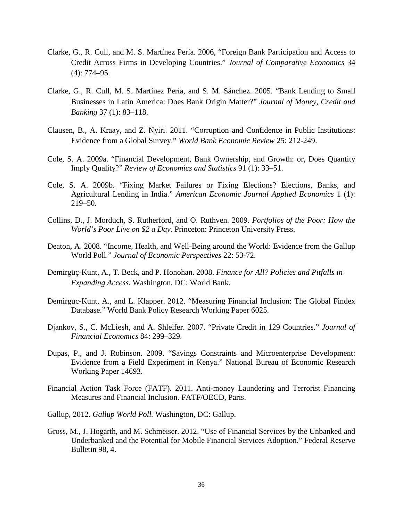- Clarke, G., R. Cull, and M. S. Martínez Pería. 2006, "Foreign Bank Participation and Access to Credit Across Firms in Developing Countries." *Journal of Comparative Economics* 34 (4): 774–95.
- Clarke, G., R. Cull, M. S. Martínez Pería, and S. M. Sánchez. 2005. "Bank Lending to Small Businesses in Latin America: Does Bank Origin Matter?" *Journal of Money, Credit and Banking* 37 (1): 83–118.
- Clausen, B., A. Kraay, and Z. Nyiri. 2011. "Corruption and Confidence in Public Institutions: Evidence from a Global Survey." *World Bank Economic Review* 25: 212-249.
- Cole, S. A. 2009a. "Financial Development, Bank Ownership, and Growth: or, Does Quantity Imply Quality?" *Review of Economics and Statistics* 91 (1): 33–51.
- Cole, S. A. 2009b. "Fixing Market Failures or Fixing Elections? Elections, Banks, and Agricultural Lending in India." *American Economic Journal Applied Economics* 1 (1): 219–50.
- Collins, D., J. Morduch, S. Rutherford, and O. Ruthven. 2009. *Portfolios of the Poor: How the*  World's Poor Live on \$2 a Day. Princeton: Princeton University Press.
- Deaton, A. 2008. "Income, Health, and Well-Being around the World: Evidence from the Gallup World Poll." *Journal of Economic Perspectives* 22: 53-72.
- Demirgüç-Kunt, A., T. Beck, and P. Honohan. 2008. *Finance for All? Policies and Pitfalls in Expanding Access*. Washington, DC: World Bank.
- Demirguc-Kunt, A., and L. Klapper. 2012. "Measuring Financial Inclusion: The Global Findex Database." World Bank Policy Research Working Paper 6025.
- Djankov, S., C. McLiesh, and A. Shleifer. 2007. "Private Credit in 129 Countries." *Journal of Financial Economics* 84: 299–329.
- Dupas, P., and J. Robinson. 2009. "Savings Constraints and Microenterprise Development: Evidence from a Field Experiment in Kenya." National Bureau of Economic Research Working Paper 14693.
- Financial Action Task Force (FATF). 2011. Anti-money Laundering and Terrorist Financing Measures and Financial Inclusion. FATF/OECD, Paris.
- Gallup, 2012. *Gallup World Poll.* Washington, DC: Gallup.
- Gross, M., J. Hogarth, and M. Schmeiser. 2012. "Use of Financial Services by the Unbanked and Underbanked and the Potential for Mobile Financial Services Adoption." Federal Reserve Bulletin 98, 4.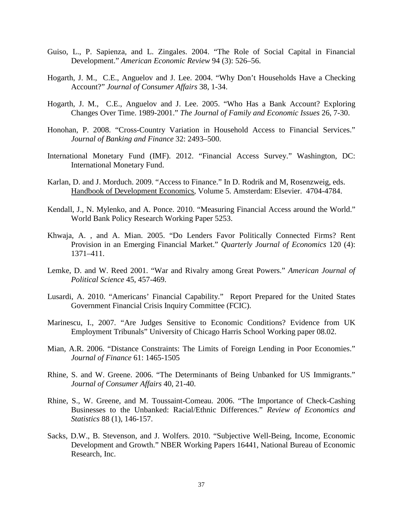- Guiso, L., P. Sapienza, and L. Zingales. 2004. "The Role of Social Capital in Financial Development." *American Economic Review* 94 (3): 526–56.
- Hogarth, J. M., C.E., Anguelov and J. Lee. 2004. "Why Don't Households Have a Checking Account?" *Journal of Consumer Affairs* 38, 1-34.
- Hogarth, J. M., C.E., Anguelov and J. Lee. 2005. "Who Has a Bank Account? Exploring Changes Over Time. 1989-2001." *The Journal of Family and Economic Issues* 26, 7-30.
- Honohan, P. 2008. "Cross-Country Variation in Household Access to Financial Services." *Journal of Banking and Finance* 32: 2493–500.
- International Monetary Fund (IMF). 2012. "Financial Access Survey." Washington, DC: International Monetary Fund.
- Karlan, D. and J. Morduch. 2009. "Access to Finance." In D. Rodrik and M, Rosenzweig, eds. Handbook of Development Economics, Volume 5. Amsterdam: Elsevier. 4704-4784.
- Kendall, J., N. Mylenko, and A. Ponce. 2010. "Measuring Financial Access around the World." World Bank Policy Research Working Paper 5253.
- Khwaja, A. , and A. Mian. 2005. "Do Lenders Favor Politically Connected Firms? Rent Provision in an Emerging Financial Market." *Quarterly Journal of Economics* 120 (4): 1371–411.
- Lemke, D. and W. Reed 2001. "War and Rivalry among Great Powers." *American Journal of Political Science* 45, 457-469.
- Lusardi, A. 2010. "Americans' Financial Capability." Report Prepared for the United States Government Financial Crisis Inquiry Committee (FCIC).
- Marinescu, I., 2007. "Are Judges Sensitive to Economic Conditions? Evidence from UK Employment Tribunals" University of Chicago Harris School Working paper 08.02.
- Mian, A.R. 2006. "Distance Constraints: The Limits of Foreign Lending in Poor Economies." *Journal of Finance* 61: 1465-1505
- Rhine, S. and W. Greene. 2006. "The Determinants of Being Unbanked for US Immigrants." *Journal of Consumer Affairs* 40, 21-40.
- Rhine, S., W. Greene, and M. Toussaint-Comeau. 2006. "The Importance of Check-Cashing Businesses to the Unbanked: Racial/Ethnic Differences." *Review of Economics and Statistics* 88 (1), 146-157.
- Sacks, D.W., B. Stevenson, and J. Wolfers. 2010. "Subjective Well-Being, Income, Economic Development and Growth." NBER Working Papers 16441, National Bureau of Economic Research, Inc.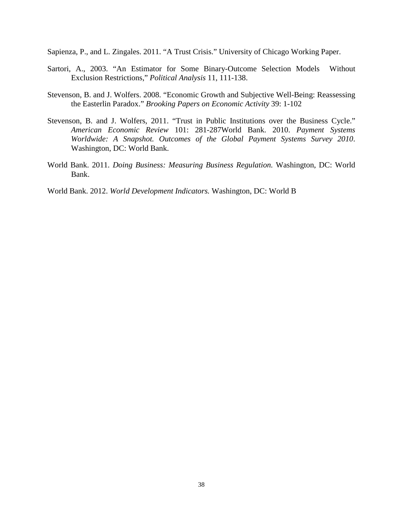Sapienza, P., and L. Zingales. 2011. "A Trust Crisis." University of Chicago Working Paper.

- Sartori, A., 2003. "An Estimator for Some Binary-Outcome Selection Models Without Exclusion Restrictions," *Political Analysis* 11, 111-138.
- Stevenson, B. and J. Wolfers. 2008. "Economic Growth and Subjective Well-Being: Reassessing the Easterlin Paradox." *Brooking Papers on Economic Activity* 39: 1-102
- Stevenson, B. and J. Wolfers, 2011. "Trust in Public Institutions over the Business Cycle." *American Economic Review* 101: 281-287World Bank. 2010. *Payment Systems Worldwide: A Snapshot. Outcomes of the Global Payment Systems Survey 2010*. Washington, DC: World Bank.
- World Bank. 2011. *Doing Business: Measuring Business Regulation.* Washington, DC: World Bank.
- World Bank. 2012. *World Development Indicators.* Washington, DC: World B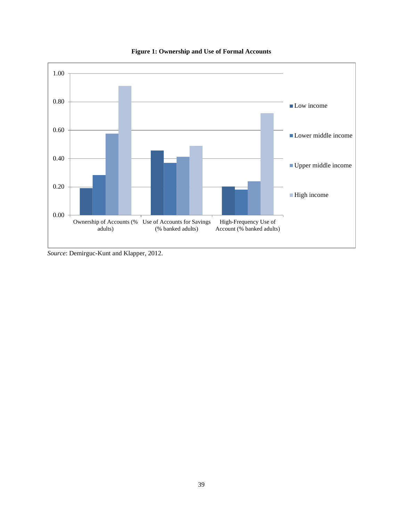

**Figure 1: Ownership and Use of Formal Accounts** 

*Source*: Demirguc-Kunt and Klapper, 2012.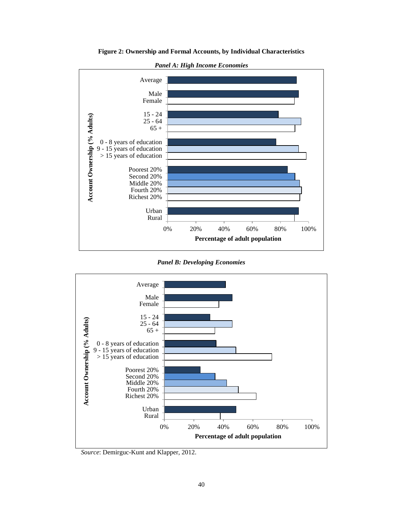

**Figure 2: Ownership and Formal Accounts, by Individual Characteristics**





*Source*: Demirguc-Kunt and Klapper, 2012.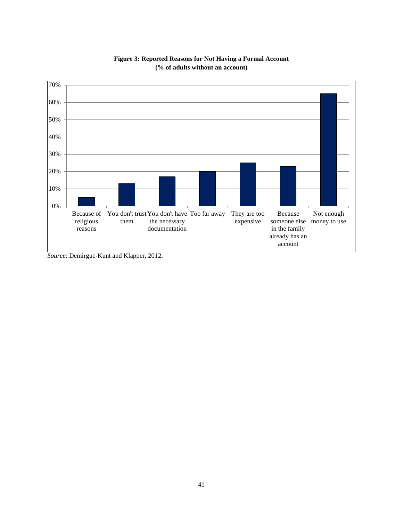

**Figure 3: Reported Reasons for Not Having a Formal Account (% of adults without an account)**

*Source*: Demirguc-Kunt and Klapper, 2012.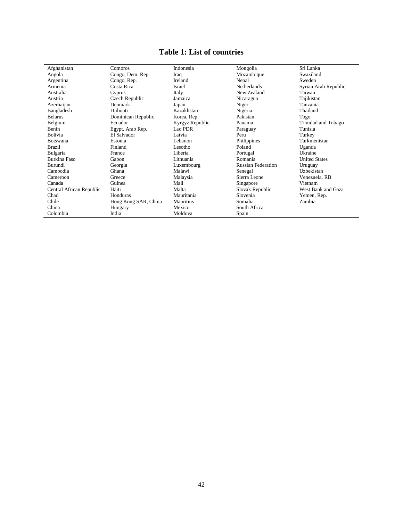# **Table 1: List of countries**

| Afghanistan              | Comoros              | Indonesia       | Mongolia                  | Sri Lanka            |
|--------------------------|----------------------|-----------------|---------------------------|----------------------|
| Angola                   | Congo, Dem. Rep.     | Iraq            | Mozambique                | Swaziland            |
| Argentina                | Congo, Rep.          | Ireland         | Nepal                     | Sweden               |
| Armenia                  | Costa Rica           | Israel          | <b>Netherlands</b>        | Syrian Arab Republic |
| Australia                | Cyprus               | Italy           | New Zealand               | Taiwan               |
| Austria                  | Czech Republic       | Jamaica         | Nicaragua                 | Tajikistan           |
| Azerbaijan               | Denmark              | Japan           | Niger                     | Tanzania             |
| Bangladesh               | Diibouti             | Kazakhstan      | Nigeria                   | Thailand             |
| <b>Belarus</b>           | Dominican Republic   | Korea, Rep.     | Pakistan                  | Togo                 |
| Belgium                  | Ecuador              | Kyrgyz Republic | Panama                    | Trinidad and Tobago  |
| Benin                    | Egypt, Arab Rep.     | Lao PDR         | Paraguay                  | Tunisia              |
| Bolivia                  | El Salvador          | Latvia          | Peru                      | Turkey               |
| <b>Botswana</b>          | Estonia              | Lebanon         | Philippines               | Turkmenistan         |
| <b>Brazil</b>            | Finland              | Lesotho         | Poland                    | Uganda               |
| Bulgaria                 | France               | Liberia         | Portugal                  | Ukraine              |
| <b>Burkina Faso</b>      | Gabon                | Lithuania       | Romania                   | <b>United States</b> |
| Burundi                  | Georgia              | Luxembourg      | <b>Russian Federation</b> | Uruguay              |
| Cambodia                 | Ghana                | Malawi          | Senegal                   | Uzbekistan           |
| Cameroon                 | Greece               | Malaysia        | Sierra Leone              | Venezuela, RB        |
| Canada                   | Guinea               | Mali            | Singapore                 | Vietnam              |
| Central African Republic | Haiti                | Malta           | Slovak Republic           | West Bank and Gaza   |
| Chad                     | Honduras             | Mauritania      | Slovenia                  | Yemen, Rep.          |
| Chile                    | Hong Kong SAR, China | Mauritius       | Somalia                   | Zambia               |
| China                    | Hungary              | Mexico          | South Africa              |                      |
| Colombia                 | India                | Moldova         | Spain                     |                      |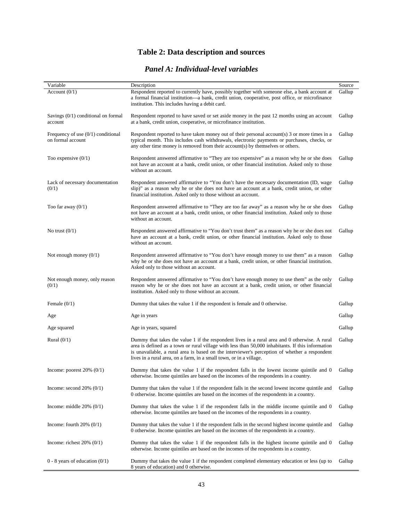# **Table 2: Data description and sources**

### *Panel A: Individual-level variables*

| Variable                                                  | Description                                                                                                                                                                                                                                                                                                                                                                | Source |
|-----------------------------------------------------------|----------------------------------------------------------------------------------------------------------------------------------------------------------------------------------------------------------------------------------------------------------------------------------------------------------------------------------------------------------------------------|--------|
| Account $(0/1)$                                           | Respondent reported to currently have, possibly together with someone else, a bank account at<br>a formal financial institution---a bank, credit union, cooperative, post office, or microfinance<br>institution. This includes having a debit card.                                                                                                                       | Gallup |
| Savings $(0/1)$ conditional on formal<br>account          | Respondent reported to have saved or set aside money in the past 12 months using an account<br>at a bank, credit union, cooperative, or microfinance institution.                                                                                                                                                                                                          | Gallup |
| Frequency of use $(0/1)$ conditional<br>on formal account | Respondent reported to have taken money out of their personal account(s) $3$ or more times in a<br>typical month. This includes cash withdrawals, electronic payments or purchases, checks, or<br>any other time money is removed from their account(s) by themselves or others.                                                                                           | Gallup |
| Too expensive $(0/1)$                                     | Respondent answered affirmative to "They are too expensive" as a reason why he or she does<br>not have an account at a bank, credit union, or other financial institution. Asked only to those<br>without an account.                                                                                                                                                      | Gallup |
| Lack of necessary documentation<br>(0/1)                  | Respondent answered affirmative to "You don't have the necessary documentation (ID, wage<br>slip)" as a reason why he or she does not have an account at a bank, credit union, or other<br>financial institution. Asked only to those without an account.                                                                                                                  | Gallup |
| Too far away $(0/1)$                                      | Respondent answered affirmative to "They are too far away" as a reason why he or she does<br>not have an account at a bank, credit union, or other financial institution. Asked only to those<br>without an account.                                                                                                                                                       | Gallup |
| No trust $(0/1)$                                          | Respondent answered affirmative to "You don't trust them" as a reason why he or she does not<br>have an account at a bank, credit union, or other financial institution. Asked only to those<br>without an account.                                                                                                                                                        | Gallup |
| Not enough money $(0/1)$                                  | Respondent answered affirmative to "You don't have enough money to use them" as a reason<br>why he or she does not have an account at a bank, credit union, or other financial institution.<br>Asked only to those without an account.                                                                                                                                     | Gallup |
| Not enough money, only reason<br>(0/1)                    | Respondent answered affirmative to "You don't have enough money to use them" as the only<br>reason why he or she does not have an account at a bank, credit union, or other financial<br>institution. Asked only to those without an account.                                                                                                                              | Gallup |
| Female $(0/1)$                                            | Dummy that takes the value 1 if the respondent is female and 0 otherwise.                                                                                                                                                                                                                                                                                                  | Gallup |
| Age                                                       | Age in years                                                                                                                                                                                                                                                                                                                                                               | Gallup |
| Age squared                                               | Age in years, squared                                                                                                                                                                                                                                                                                                                                                      | Gallup |
| Rural $(0/1)$                                             | Dummy that takes the value 1 if the respondent lives in a rural area and 0 otherwise. A rural<br>area is defined as a town or rural village with less than 50,000 inhabitants. If this information<br>is unavailable, a rural area is based on the interviewer's perception of whether a respondent<br>lives in a rural area, on a farm, in a small town, or in a village. | Gallup |
| Income: poorest $20\%$ (0/1)                              | Dummy that takes the value 1 if the respondent falls in the lowest income quintile and 0<br>otherwise. Income quintiles are based on the incomes of the respondents in a country.                                                                                                                                                                                          | Gallup |
| Income: second $20\%$ (0/1)                               | Dummy that takes the value 1 if the respondent falls in the second lowest income quintile and<br>0 otherwise. Income quintiles are based on the incomes of the respondents in a country.                                                                                                                                                                                   | Gallup |
| Income: middle $20\%$ (0/1)                               | Dummy that takes the value 1 if the respondent falls in the middle income quintile and 0<br>otherwise. Income quintiles are based on the incomes of the respondents in a country.                                                                                                                                                                                          | Gallup |
| Income: fourth $20\%$ (0/1)                               | Dummy that takes the value 1 if the respondent falls in the second highest income quintile and<br>0 otherwise. Income quintiles are based on the incomes of the respondents in a country.                                                                                                                                                                                  | Gallup |
| Income: richest $20\%$ (0/1)                              | Dummy that takes the value 1 if the respondent falls in the highest income quintile and 0<br>otherwise. Income quintiles are based on the incomes of the respondents in a country.                                                                                                                                                                                         | Gallup |
| $0 - 8$ years of education $(0/1)$                        | Dummy that takes the value 1 if the respondent completed elementary education or less (up to<br>8 years of education) and 0 otherwise.                                                                                                                                                                                                                                     | Gallup |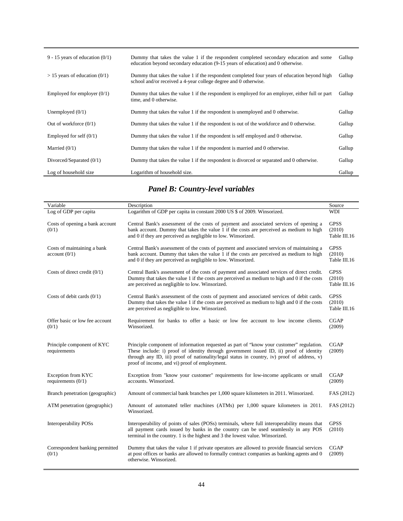| 9 - 15 years of education $(0/1)$ | Dummy that takes the value 1 if the respondent completed secondary education and some<br>education beyond secondary education (9-15 years of education) and 0 otherwise. | Gallup |
|-----------------------------------|--------------------------------------------------------------------------------------------------------------------------------------------------------------------------|--------|
| $> 15$ years of education (0/1)   | Dummy that takes the value 1 if the respondent completed four years of education beyond high<br>school and/or received a 4-year college degree and 0 otherwise.          | Gallup |
| Employed for employer $(0/1)$     | Dummy that takes the value 1 if the respondent is employed for an employer, either full or part<br>time, and 0 otherwise.                                                | Gallup |
| Unemployed $(0/1)$                | Dummy that takes the value 1 if the respondent is unemployed and 0 otherwise.                                                                                            | Gallup |
| Out of workforce $(0/1)$          | Dummy that takes the value 1 if the respondent is out of the workforce and 0 otherwise.                                                                                  | Gallup |
| Employed for self $(0/1)$         | Dummy that takes the value 1 if the respondent is self employed and 0 otherwise.                                                                                         | Gallup |
| Married $(0/1)$                   | Dummy that takes the value 1 if the respondent is married and 0 otherwise.                                                                                               | Gallup |
| Divorced/Separated $(0/1)$        | Dummy that takes the value 1 if the respondent is divorced or separated and 0 otherwise.                                                                                 | Gallup |
| Log of household size             | Logarithm of household size.                                                                                                                                             | Gallup |

# *Panel B: Country-level variables*

| Variable                                     | Description                                                                                                                                                                                                                                                                                                                         | Source                                |
|----------------------------------------------|-------------------------------------------------------------------------------------------------------------------------------------------------------------------------------------------------------------------------------------------------------------------------------------------------------------------------------------|---------------------------------------|
| Log of GDP per capita                        | Logarithm of GDP per capita in constant 2000 US \$ of 2009. Winsorized.                                                                                                                                                                                                                                                             | <b>WDI</b>                            |
| Costs of opening a bank account<br>(0/1)     | Central Bank's assessment of the costs of payment and associated services of opening a<br>bank account. Dummy that takes the value 1 if the costs are perceived as medium to high<br>and 0 if they are perceived as negligible to low. Winsorized.                                                                                  | <b>GPSS</b><br>(2010)<br>Table III.16 |
| Costs of maintaining a bank<br>account (0/1) | Central Bank's assessment of the costs of payment and associated services of maintaining a<br>bank account. Dummy that takes the value 1 if the costs are perceived as medium to high<br>and 0 if they are perceived as negligible to low. Winsorized.                                                                              | <b>GPSS</b><br>(2010)<br>Table III.16 |
| Costs of direct credit $(0/1)$               | Central Bank's assessment of the costs of payment and associated services of direct credit.<br>Dummy that takes the value 1 if the costs are perceived as medium to high and 0 if the costs<br>are perceived as negligible to low. Winsorized.                                                                                      | <b>GPSS</b><br>(2010)<br>Table III.16 |
| Costs of debit cards $(0/1)$                 | Central Bank's assessment of the costs of payment and associated services of debit cards.<br>Dummy that takes the value 1 if the costs are perceived as medium to high and 0 if the costs<br>are perceived as negligible to low. Winsorized.                                                                                        | <b>GPSS</b><br>(2010)<br>Table III.16 |
| Offer basic or low fee account<br>(0/1)      | Requirement for banks to offer a basic or low fee account to low income clients.<br>Winsorized.                                                                                                                                                                                                                                     | <b>CGAP</b><br>(2009)                 |
| Principle component of KYC<br>requirements   | Principle component of information requested as part of "know your customer" regulation.<br>These include: i) proof of identity through government issued ID, ii) proof of identity<br>through any ID, iii) proof of nationality/legal status in country, iv) proof of address, v)<br>proof of income, and vi) proof of employment. | <b>CGAP</b><br>(2009)                 |
| Exception from KYC<br>requirements $(0/1)$   | Exception from "know your customer" requirements for low-income applicants or small<br>accounts. Winsorized.                                                                                                                                                                                                                        | <b>CGAP</b><br>(2009)                 |
| Branch penetration (geographic)              | Amount of commercial bank branches per 1,000 square kilometers in 2011. Winsorized.                                                                                                                                                                                                                                                 | FAS (2012)                            |
| ATM penetration (geographic)                 | Amount of automated teller machines (ATMs) per 1,000 square kilometers in 2011.<br>Winsorized.                                                                                                                                                                                                                                      | FAS (2012)                            |
| <b>Interoperability POSs</b>                 | Interoperability of points of sales (POSs) terminals, where full interoperability means that<br>all payment cards issued by banks in the country can be used seamlessly in any POS<br>terminal in the country. 1 is the highest and 3 the lowest value. Winsorized.                                                                 | <b>GPSS</b><br>(2010)                 |
| Correspondent banking permitted<br>(0/1)     | Dummy that takes the value 1 if private operators are allowed to provide financial services<br>at post offices or banks are allowed to formally contract companies as banking agents and 0<br>otherwise. Winsorized.                                                                                                                | <b>CGAP</b><br>(2009)                 |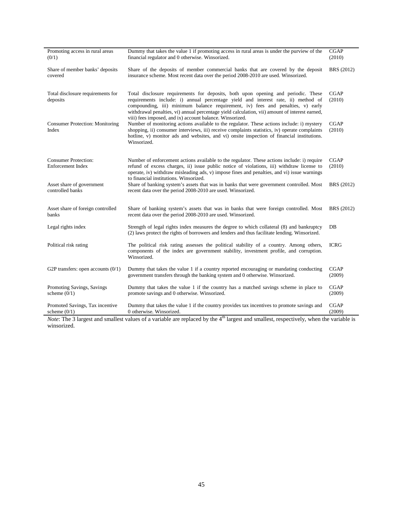| Promoting access in rural areas<br>(0/1)          | Dummy that takes the value 1 if promoting access in rural areas is under the purview of the<br>financial regulator and 0 otherwise. Winsorized.                                                                                                                                                                                                                      | <b>CGAP</b><br>(2010) |
|---------------------------------------------------|----------------------------------------------------------------------------------------------------------------------------------------------------------------------------------------------------------------------------------------------------------------------------------------------------------------------------------------------------------------------|-----------------------|
| Share of member banks' deposits<br>covered        | Share of the deposits of member commercial banks that are covered by the deposit<br>insurance scheme. Most recent data over the period 2008-2010 are used. Winsorized.                                                                                                                                                                                               | BRS (2012)            |
| Total disclosure requirements for<br>deposits     | Total disclosure requirements for deposits, both upon opening and periodic. These<br>requirements include: i) annual percentage yield and interest rate, ii) method of<br>compounding, iii) minimum balance requirement, iv) fees and penalties, v) early<br>withdrawal penalties, vi) annual percentage yield calculation, vii) amount of interest earned,          | <b>CGAP</b><br>(2010) |
| <b>Consumer Protection: Monitoring</b><br>Index   | viii) fees imposed, and ix) account balance. Winsorized.<br>Number of monitoring actions available to the regulator. These actions include: i) mystery<br>shopping, ii) consumer interviews, iii) receive complaints statistics, iv) operate complaints<br>hotline, v) monitor ads and websites, and vi) onsite inspection of financial institutions.<br>Winsorized. | <b>CGAP</b><br>(2010) |
| <b>Consumer Protection:</b><br>Enforcement Index  | Number of enforcement actions available to the regulator. These actions include: i) require<br>refund of excess charges, ii) issue public notice of violations, iii) withdraw license to<br>operate, iv) withdraw misleading ads, v) impose fines and penalties, and vi) issue warnings<br>to financial institutions. Winsorized.                                    | <b>CGAP</b><br>(2010) |
| Asset share of government<br>controlled banks     | Share of banking system's assets that was in banks that were government controlled. Most<br>recent data over the period 2008-2010 are used. Winsorized.                                                                                                                                                                                                              | BRS (2012)            |
| Asset share of foreign controlled<br>banks        | Share of banking system's assets that was in banks that were foreign controlled. Most<br>recent data over the period 2008-2010 are used. Winsorized.                                                                                                                                                                                                                 | BRS (2012)            |
| Legal rights index                                | Strength of legal rights index measures the degree to which collateral (8) and bankruptcy<br>(2) laws protect the rights of borrowers and lenders and thus facilitate lending. Winsorized.                                                                                                                                                                           | DB                    |
| Political risk rating                             | The political risk rating assesses the political stability of a country. Among others,<br>components of the index are government stability, investment profile, and corruption.<br>Winsorized.                                                                                                                                                                       | <b>ICRG</b>           |
| G2P transfers: open accounts $(0/1)$              | Dummy that takes the value 1 if a country reported encouraging or mandating conducting<br>government transfers through the banking system and 0 otherwise. Winsorized.                                                                                                                                                                                               | <b>CGAP</b><br>(2009) |
| Promoting Savings, Savings<br>scheme $(0/1)$      | Dummy that takes the value 1 if the country has a matched savings scheme in place to<br>promote savings and 0 otherwise. Winsorized.                                                                                                                                                                                                                                 | <b>CGAP</b><br>(2009) |
| Promoted Savings, Tax incentive<br>scheme $(0/1)$ | Dummy that takes the value 1 if the country provides tax incentives to promote savings and<br>0 otherwise. Winsorized.<br>$.4h -$                                                                                                                                                                                                                                    | <b>CGAP</b><br>(2009) |

*Note*: The 3 largest and smallest values of a variable are replaced by the 4<sup>th</sup> largest and smallest, respectively, when the variable is winsorized.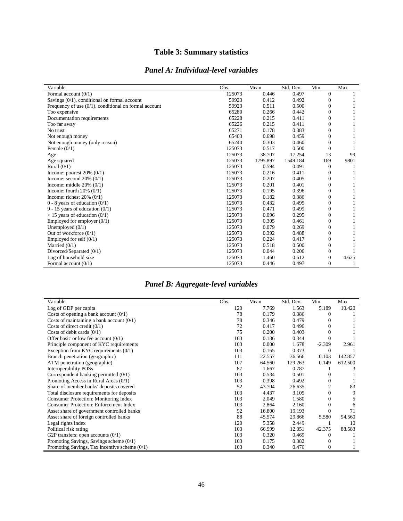## **Table 3: Summary statistics**

### *Panel A: Individual-level variables*

| Variable                                                 | Obs.   | Mean     | Std. Dev. | Min          | Max   |
|----------------------------------------------------------|--------|----------|-----------|--------------|-------|
| Formal account $(0/1)$                                   | 125073 | 0.446    | 0.497     | $\Omega$     |       |
| Savings $(0/1)$ , conditional on formal account          | 59923  | 0.412    | 0.492     | $\Omega$     |       |
| Frequency of use $(0/1)$ , conditional on formal account | 59923  | 0.511    | 0.500     | $\Omega$     |       |
| Too expensive                                            | 65280  | 0.266    | 0.442     | $\Omega$     |       |
| Documentation requirements                               | 65228  | 0.215    | 0.411     | $\Omega$     |       |
| Too far away                                             | 65226  | 0.215    | 0.411     | $\Omega$     |       |
| No trust                                                 | 65271  | 0.178    | 0.383     | $\Omega$     |       |
| Not enough money                                         | 65403  | 0.698    | 0.459     | $\Omega$     |       |
| Not enough money (only reason)                           | 65240  | 0.303    | 0.460     | $\Omega$     |       |
| Female $(0/1)$                                           | 125073 | 0.517    | 0.500     | $\Omega$     |       |
| Age                                                      | 125073 | 38.707   | 17.254    | 13           | 99    |
| Age squared                                              | 125073 | 1795.897 | 1549.184  | 169          | 9801  |
| Rural $(0/1)$                                            | 125073 | 0.594    | 0.491     | $\Omega$     |       |
| Income: poorest $20\%$ (0/1)                             | 125073 | 0.216    | 0.411     | $\theta$     |       |
| Income: second $20\%$ (0/1)                              | 125073 | 0.207    | 0.405     | $\Omega$     |       |
| Income: middle $20\%$ (0/1)                              | 125073 | 0.201    | 0.401     | $\Omega$     |       |
| Income: fourth $20\%$ (0/1)                              | 125073 | 0.195    | 0.396     | $\Omega$     |       |
| Income: richest $20\%$ (0/1)                             | 125073 | 0.182    | 0.386     | $\Omega$     |       |
| $0 - 8$ years of education $(0/1)$                       | 125073 | 0.432    | 0.495     | $\Omega$     |       |
| 9 - 15 years of education $(0/1)$                        | 125073 | 0.471    | 0.499     | $\Omega$     |       |
| $> 15$ years of education (0/1)                          | 125073 | 0.096    | 0.295     | $\Omega$     |       |
| Employed for employer $(0/1)$                            | 125073 | 0.305    | 0.461     | $\Omega$     |       |
| Unemployed $(0/1)$                                       | 125073 | 0.079    | 0.269     | $\Omega$     |       |
| Out of workforce $(0/1)$                                 | 125073 | 0.392    | 0.488     | $\Omega$     |       |
| Employed for self $(0/1)$                                | 125073 | 0.224    | 0.417     | $\Omega$     |       |
| Married $(0/1)$                                          | 125073 | 0.518    | 0.500     | 0            |       |
| Divorced/Separated (0/1)                                 | 125073 | 0.044    | 0.206     | $\Omega$     |       |
| Log of household size                                    | 125073 | 1.460    | 0.612     | $\Omega$     | 4.625 |
| Formal account $(0/1)$                                   | 125073 | 0.446    | 0.497     | $\mathbf{0}$ |       |

## *Panel B: Aggregate-level variables*

| Variable                                        | Obs. | Mean   | Std. Dev. | Min      | Max     |
|-------------------------------------------------|------|--------|-----------|----------|---------|
| Log of GDP per capita                           | 120  | 7.769  | 1.563     | 5.189    | 10.420  |
| Costs of opening a bank account $(0/1)$         | 78   | 0.179  | 0.386     | $\Omega$ |         |
| Costs of maintaining a bank account $(0/1)$     | 78   | 0.346  | 0.479     | $\Omega$ |         |
| Costs of direct credit $(0/1)$                  | 72   | 0.417  | 0.496     | $\Omega$ |         |
| Costs of debit cards $(0/1)$                    | 75   | 0.200  | 0.403     |          |         |
| Offer basic or low fee account $(0/1)$          | 103  | 0.136  | 0.344     |          |         |
| Principle component of KYC requirements         | 103  | 0.000  | 1.678     | $-2.309$ | 2.961   |
| Exception from KYC requirements $(0/1)$         | 103  | 0.165  | 0.373     | $\Omega$ |         |
| Branch penetration (geographic)                 | 111  | 22.557 | 36.566    | 0.103    | 142.857 |
| ATM penetration (geographic)                    | 107  | 64.560 | 129.263   | 0.149    | 612.500 |
| <b>Interoperability POSs</b>                    | 87   | 1.667  | 0.787     |          |         |
| Correspondent banking permitted (0/1)           | 103  | 0.534  | 0.501     | 0        |         |
| Promoting Access in Rural Areas $(0/1)$         | 103  | 0.398  | 0.492     |          |         |
| Share of member banks' deposits covered         | 52   | 43.704 | 26.635    | 2        | 83      |
| Total disclosure requirements for deposits      | 103  | 4.437  | 3.105     |          | 9       |
| Consumer Protection: Monitoring Index           | 103  | 2.049  | 1.580     | $\Omega$ | 5       |
| <b>Consumer Protection: Enforcement Index</b>   | 103  | 2.864  | 2.160     | $\Omega$ | 6       |
| Asset share of government controlled banks      | 92   | 16.800 | 19.193    | $\Omega$ | 71      |
| Asset share of foreign controlled banks         | 88   | 45.574 | 29.866    | 5.580    | 94.560  |
| Legal rights index                              | 120  | 5.358  | 2.449     |          | 10      |
| Political risk rating                           | 103  | 66.999 | 12.051    | 42.375   | 88.583  |
| G2P transfers: open accounts $(0/1)$            | 103  | 0.320  | 0.469     | $\Omega$ |         |
| Promoting Savings, Savings scheme $(0/1)$       | 103  | 0.175  | 0.382     | $\Omega$ |         |
| Promoting Savings, Tax incentive scheme $(0/1)$ | 103  | 0.340  | 0.476     | $\Omega$ |         |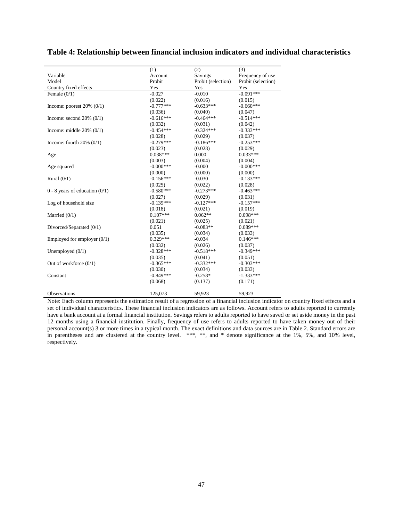|                                    | (1)         | (2)                | (3)                |
|------------------------------------|-------------|--------------------|--------------------|
| Variable                           | Account     | Savings            | Frequency of use   |
| Model                              | Probit      | Probit (selection) | Probit (selection) |
| Country fixed effects              | Yes         | Yes                | Yes                |
| Female $(0/1)$                     | $-0.027$    | $-0.010$           | $-0.091***$        |
|                                    | (0.022)     | (0.016)            | (0.015)            |
| Income: poorest $20\%$ (0/1)       | $-0.777***$ | $-0.633***$        | $-0.660***$        |
|                                    | (0.036)     | (0.040)            | (0.047)            |
| Income: second $20\%$ (0/1)        | $-0.616***$ | $-0.464***$        | $-0.514***$        |
|                                    | (0.032)     | (0.031)            | (0.042)            |
| Income: middle $20\%$ (0/1)        | $-0.454***$ | $-0.324***$        | $-0.333***$        |
|                                    | (0.028)     | (0.029)            | (0.037)            |
| Income: fourth $20\%$ (0/1)        | $-0.279***$ | $-0.186***$        | $-0.253***$        |
|                                    | (0.023)     | (0.028)            | (0.029)            |
| Age                                | $0.038***$  | 0.000              | $0.033***$         |
|                                    | (0.003)     | (0.004)            | (0.004)            |
| Age squared                        | $-0.000***$ | $-0.000$           | $-0.000***$        |
|                                    | (0.000)     | (0.000)            | (0.000)            |
| Rural $(0/1)$                      | $-0.156***$ | $-0.030$           | $-0.133***$        |
|                                    | (0.025)     | (0.022)            | (0.028)            |
| $0 - 8$ years of education $(0/1)$ | $-0.580***$ | $-0.273***$        | $-0.463***$        |
|                                    | (0.027)     | (0.029)            | (0.031)            |
| Log of household size              | $-0.139***$ | $-0.127***$        | $-0.157***$        |
|                                    | (0.018)     | (0.021)            | (0.019)            |
| Married $(0/1)$                    | $0.107***$  | $0.062**$          | $0.098***$         |
|                                    | (0.021)     | (0.025)            | (0.021)            |
| Divorced/Separated (0/1)           | 0.051       | $-0.083**$         | $0.089***$         |
|                                    | (0.035)     | (0.034)            | (0.033)            |
| Employed for employer $(0/1)$      | $0.329***$  | $-0.034$           | $0.146***$         |
|                                    | (0.032)     | (0.026)            | (0.037)            |
| Unemployed $(0/1)$                 | $-0.328***$ | $-0.518***$        | $-0.349***$        |
|                                    | (0.035)     | (0.041)            | (0.051)            |
| Out of workforce $(0/1)$           | $-0.365***$ | $-0.332***$        | $-0.303***$        |
|                                    | (0.030)     | (0.034)            | (0.033)            |
| Constant                           | $-0.849***$ | $-0.258*$          | $-1.333***$        |
|                                    | (0.068)     | (0.137)            | (0.171)            |
| Observations                       | 125,073     | 59,923             | 59,923             |

#### **Table 4: Relationship between financial inclusion indicators and individual characteristics**

Note: Each column represents the estimation result of a regression of a financial inclusion indicator on country fixed effects and a set of individual characteristics. These financial inclusion indicators are as follows. Account refers to adults reported to currently have a bank account at a formal financial institution. Savings refers to adults reported to have saved or set aside money in the past 12 months using a financial institution. Finally, frequency of use refers to adults reported to have taken money out of their personal account(s) 3 or more times in a typical month. The exact definitions and data sources are in Table 2. Standard errors are in parentheses and are clustered at the country level. \*\*\*, \*\*, and \* denote significance at the 1%, 5%, and 10% level, respectively.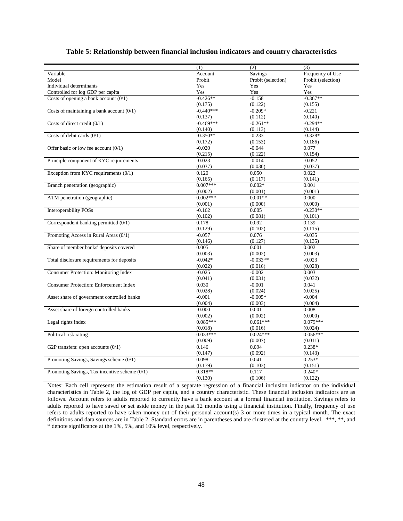#### **Table 5: Relationship between financial inclusion indicators and country characteristics**

|                                                 | (1)         | (2)                | (3)                |
|-------------------------------------------------|-------------|--------------------|--------------------|
| Variable                                        | Account     | Savings            | Frequency of Use   |
| Model                                           | Probit      | Probit (selection) | Probit (selection) |
| Individual determinants                         | Yes         | Yes                | Yes                |
| Controlled for log GDP per capita               | Yes         | Yes                | Yes                |
| Costs of opening a bank account $(0/1)$         | $-0.426**$  | $-0.158$           | $-0.367**$         |
|                                                 | (0.175)     | (0.122)            | (0.155)            |
| Costs of maintaining a bank account $(0/1)$     | $-0.440***$ | $-0.209*$          | $-0.221$           |
|                                                 | (0.137)     | (0.112)            | (0.140)            |
| Costs of direct credit $(0/1)$                  | $-0.469***$ | $-0.261**$         | $-0.294**$         |
|                                                 | (0.140)     | (0.113)            | (0.144)            |
| Costs of debit cards $(0/1)$                    | $-0.350**$  | $-0.233$           | $-0.328*$          |
|                                                 | (0.172)     | (0.153)            | (0.186)            |
| Offer basic or low fee account $(0/1)$          | $-0.020$    | $-0.044$           | 0.077              |
|                                                 | (0.215)     | (0.122)            | (0.154)            |
| Principle component of KYC requirements         | $-0.023$    | $-0.014$           | $-0.052$           |
|                                                 | (0.037)     | (0.030)            | (0.037)            |
| Exception from KYC requirements $(0/1)$         | 0.120       | 0.050              | 0.022              |
|                                                 | (0.165)     | (0.117)            | (0.141)            |
| Branch penetration (geographic)                 | $0.007***$  | $0.002*$           | 0.001              |
|                                                 | (0.002)     | (0.001)            | (0.001)            |
| ATM penetration (geographic)                    | $0.002***$  | $0.001**$          | 0.000              |
|                                                 | (0.001)     | (0.000)            | (0.000)            |
| <b>Interoperability POSs</b>                    | $-0.162$    | 0.005              | $-0.230**$         |
|                                                 | (0.102)     | (0.081)            | (0.101)            |
| Correspondent banking permitted (0/1)           | 0.178       | 0.092              | 0.139              |
|                                                 | (0.129)     | (0.102)            | (0.115)            |
| Promoting Access in Rural Areas (0/1)           | $-0.057$    | 0.076              | $-0.035$           |
|                                                 | (0.146)     | (0.127)            | (0.135)            |
| Share of member banks' deposits covered         | 0.005       | 0.001              | 0.002              |
|                                                 | (0.003)     | (0.002)            | (0.003)            |
| Total disclosure requirements for deposits      | $-0.042*$   | $-0.033**$         | $-0.023$           |
|                                                 | (0.022)     | (0.016)            | (0.028)            |
| <b>Consumer Protection: Monitoring Index</b>    | $-0.025$    | $-0.002$           | 0.003              |
|                                                 | (0.041)     | (0.031)            | (0.032)            |
| <b>Consumer Protection: Enforcement Index</b>   | 0.030       | $-0.001$           | 0.041              |
|                                                 | (0.028)     | (0.024)            | (0.025)            |
| Asset share of government controlled banks      | $-0.001$    | $-0.005*$          | $-0.004$           |
|                                                 | (0.004)     | (0.003)            | (0.004)            |
| Asset share of foreign controlled banks         | $-0.000$    | 0.001              | 0.008              |
|                                                 | (0.002)     | (0.002)            | (0.000)            |
| Legal rights index                              | $0.085***$  | $0.061***$         | $0.079***$         |
|                                                 | (0.018)     | (0.016)            | (0.024)            |
| Political risk rating                           | $0.033***$  | $0.024***$         | $0.056***$         |
|                                                 | (0.009)     | (0.007)            | (0.011)            |
| G2P transfers: open accounts $(0/1)$            | 0.146       | 0.094              | $0.238*$           |
|                                                 | (0.147)     | (0.092)            | (0.143)            |
| Promoting Savings, Savings scheme $(0/1)$       | 0.098       | 0.041              | $0.253*$           |
|                                                 | (0.179)     | (0.103)            | (0.151)            |
| Promoting Savings, Tax incentive scheme $(0/1)$ | $0.318**$   | 0.117              | $0.240*$           |
|                                                 |             | (0.106)            | (0.122)            |
|                                                 | (0.130)     |                    |                    |

Notes: Each cell represents the estimation result of a separate regression of a financial inclusion indicator on the individual characteristics in Table 2, the log of GDP per capita, and a country characteristic. These financial inclusion indicators are as follows. Account refers to adults reported to currently have a bank account at a formal financial institution. Savings refers to adults reported to have saved or set aside money in the past 12 months using a financial institution. Finally, frequency of use refers to adults reported to have taken money out of their personal account(s) 3 or more times in a typical month. The exact definitions and data sources are in Table 2. Standard errors are in parentheses and are clustered at the country level. \*\*\*, \*\*, and \* denote significance at the 1%, 5%, and 10% level, respectively.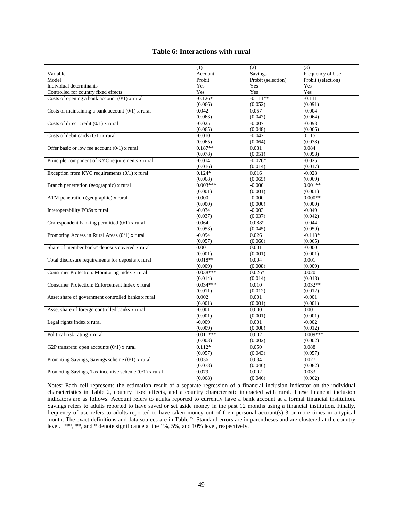#### **Table 6: Interactions with rural**

| Frequency of Use<br>Variable<br>Account<br>Savings<br>Probit<br>Probit (selection)<br>Probit (selection)<br>Model<br>Individual determinants<br>Yes<br>Yes<br>Yes<br>Controlled for country fixed effects<br>Yes<br>Yes<br>Yes<br>Costs of opening a bank account $(0/1)$ x rural<br>$-0.126*$<br>$-0.111**$<br>$-0.111$<br>(0.066)<br>(0.052)<br>(0.091)<br>Costs of maintaining a bank account $(0/1)$ x rural<br>0.042<br>0.057<br>$-0.004$<br>(0.063)<br>(0.047)<br>(0.064)<br>Costs of direct credit $(0/1)$ x rural<br>$-0.025$<br>$-0.093$<br>$-0.007$<br>(0.065)<br>(0.048)<br>(0.066)<br>Costs of debit cards $(0/1)$ x rural<br>$-0.010$<br>$-0.042$<br>0.115<br>(0.065)<br>(0.064)<br>(0.078)<br>Offer basic or low fee account $(0/1)$ x rural<br>$0.187**$<br>0.081<br>0.084<br>(0.078)<br>(0.051)<br>(0.098)<br>Principle component of KYC requirements x rural<br>$-0.014$<br>$-0.025$<br>$-0.026*$<br>(0.016)<br>(0.014)<br>(0.017)<br>Exception from KYC requirements $(0/1)$ x rural<br>$0.124*$<br>0.016<br>$-0.028$<br>(0.069)<br>(0.068)<br>(0.065)<br>Branch penetration (geographic) x rural<br>$0.003***$<br>$0.001**$<br>$-0.000$<br>(0.001)<br>(0.001)<br>(0.001)<br>ATM penetration (geographic) x rural<br>$0.000**$<br>0.000<br>$-0.000$<br>(0.000)<br>(0.000)<br>(0.000)<br>Interoperability POSs x rural<br>$-0.034$<br>$-0.049$<br>$-0.003$<br>(0.037)<br>(0.037)<br>(0.042)<br>Correspondent banking permitted (0/1) x rural<br>0.064<br>$0.088*$<br>$-0.044$<br>(0.053)<br>(0.045)<br>(0.059)<br>Promoting Access in Rural Areas (0/1) x rural<br>$-0.094$<br>0.026<br>$-0.118*$<br>(0.057)<br>(0.060)<br>(0.065)<br>Share of member banks' deposits covered x rural<br>0.001<br>0.001<br>$-0.000$<br>(0.001)<br>(0.001)<br>(0.001)<br>$0.018**$<br>Total disclosure requirements for deposits x rural<br>0.001<br>0.004<br>(0.008)<br>(0.009)<br>(0.009)<br>$0.038***$<br>Consumer Protection: Monitoring Index x rural<br>0.020<br>$0.026*$<br>(0.014)<br>(0.014)<br>(0.018)<br>Consumer Protection: Enforcement Index x rural<br>$0.034***$<br>0.010<br>$0.032**$<br>(0.011)<br>(0.012)<br>(0.012)<br>Asset share of government controlled banks x rural<br>0.002<br>0.001<br>$-0.001$<br>(0.001)<br>(0.001)<br>(0.001)<br>Asset share of foreign controlled banks x rural<br>$-0.001$<br>0.000<br>0.001<br>(0.001)<br>(0.001)<br>(0.001)<br>Legal rights index x rural<br>$-0.009$<br>$-0.002$<br>0.001<br>(0.009)<br>(0.008)<br>(0.012)<br>Political risk rating x rural<br>$0.011***$<br>$0.009***$<br>0.002<br>(0.003)<br>(0.002)<br>(0.002)<br>G2P transfers: open accounts $(0/1)$ x rural<br>$0.112*$<br>0.050<br>0.088<br>(0.057)<br>(0.043)<br>(0.057)<br>Promoting Savings, Savings scheme (0/1) x rural<br>0.036<br>0.034<br>0.027<br>(0.078)<br>(0.046)<br>(0.082)<br>0.079<br>Promoting Savings, Tax incentive scheme $(0/1)$ x rural<br>0.002<br>0.033<br>(0.068)<br>(0.046)<br>(0.062) | (1) | (2) | (3) |
|--------------------------------------------------------------------------------------------------------------------------------------------------------------------------------------------------------------------------------------------------------------------------------------------------------------------------------------------------------------------------------------------------------------------------------------------------------------------------------------------------------------------------------------------------------------------------------------------------------------------------------------------------------------------------------------------------------------------------------------------------------------------------------------------------------------------------------------------------------------------------------------------------------------------------------------------------------------------------------------------------------------------------------------------------------------------------------------------------------------------------------------------------------------------------------------------------------------------------------------------------------------------------------------------------------------------------------------------------------------------------------------------------------------------------------------------------------------------------------------------------------------------------------------------------------------------------------------------------------------------------------------------------------------------------------------------------------------------------------------------------------------------------------------------------------------------------------------------------------------------------------------------------------------------------------------------------------------------------------------------------------------------------------------------------------------------------------------------------------------------------------------------------------------------------------------------------------------------------------------------------------------------------------------------------------------------------------------------------------------------------------------------------------------------------------------------------------------------------------------------------------------------------------------------------------------------------------------------------------------------------------------------------------------------------------------------------------------------------------------------------------------------------------------------------------------------------------------------------------------------------------------------------------------------------------------------|-----|-----|-----|
|                                                                                                                                                                                                                                                                                                                                                                                                                                                                                                                                                                                                                                                                                                                                                                                                                                                                                                                                                                                                                                                                                                                                                                                                                                                                                                                                                                                                                                                                                                                                                                                                                                                                                                                                                                                                                                                                                                                                                                                                                                                                                                                                                                                                                                                                                                                                                                                                                                                                                                                                                                                                                                                                                                                                                                                                                                                                                                                                            |     |     |     |
|                                                                                                                                                                                                                                                                                                                                                                                                                                                                                                                                                                                                                                                                                                                                                                                                                                                                                                                                                                                                                                                                                                                                                                                                                                                                                                                                                                                                                                                                                                                                                                                                                                                                                                                                                                                                                                                                                                                                                                                                                                                                                                                                                                                                                                                                                                                                                                                                                                                                                                                                                                                                                                                                                                                                                                                                                                                                                                                                            |     |     |     |
|                                                                                                                                                                                                                                                                                                                                                                                                                                                                                                                                                                                                                                                                                                                                                                                                                                                                                                                                                                                                                                                                                                                                                                                                                                                                                                                                                                                                                                                                                                                                                                                                                                                                                                                                                                                                                                                                                                                                                                                                                                                                                                                                                                                                                                                                                                                                                                                                                                                                                                                                                                                                                                                                                                                                                                                                                                                                                                                                            |     |     |     |
|                                                                                                                                                                                                                                                                                                                                                                                                                                                                                                                                                                                                                                                                                                                                                                                                                                                                                                                                                                                                                                                                                                                                                                                                                                                                                                                                                                                                                                                                                                                                                                                                                                                                                                                                                                                                                                                                                                                                                                                                                                                                                                                                                                                                                                                                                                                                                                                                                                                                                                                                                                                                                                                                                                                                                                                                                                                                                                                                            |     |     |     |
|                                                                                                                                                                                                                                                                                                                                                                                                                                                                                                                                                                                                                                                                                                                                                                                                                                                                                                                                                                                                                                                                                                                                                                                                                                                                                                                                                                                                                                                                                                                                                                                                                                                                                                                                                                                                                                                                                                                                                                                                                                                                                                                                                                                                                                                                                                                                                                                                                                                                                                                                                                                                                                                                                                                                                                                                                                                                                                                                            |     |     |     |
|                                                                                                                                                                                                                                                                                                                                                                                                                                                                                                                                                                                                                                                                                                                                                                                                                                                                                                                                                                                                                                                                                                                                                                                                                                                                                                                                                                                                                                                                                                                                                                                                                                                                                                                                                                                                                                                                                                                                                                                                                                                                                                                                                                                                                                                                                                                                                                                                                                                                                                                                                                                                                                                                                                                                                                                                                                                                                                                                            |     |     |     |
|                                                                                                                                                                                                                                                                                                                                                                                                                                                                                                                                                                                                                                                                                                                                                                                                                                                                                                                                                                                                                                                                                                                                                                                                                                                                                                                                                                                                                                                                                                                                                                                                                                                                                                                                                                                                                                                                                                                                                                                                                                                                                                                                                                                                                                                                                                                                                                                                                                                                                                                                                                                                                                                                                                                                                                                                                                                                                                                                            |     |     |     |
|                                                                                                                                                                                                                                                                                                                                                                                                                                                                                                                                                                                                                                                                                                                                                                                                                                                                                                                                                                                                                                                                                                                                                                                                                                                                                                                                                                                                                                                                                                                                                                                                                                                                                                                                                                                                                                                                                                                                                                                                                                                                                                                                                                                                                                                                                                                                                                                                                                                                                                                                                                                                                                                                                                                                                                                                                                                                                                                                            |     |     |     |
|                                                                                                                                                                                                                                                                                                                                                                                                                                                                                                                                                                                                                                                                                                                                                                                                                                                                                                                                                                                                                                                                                                                                                                                                                                                                                                                                                                                                                                                                                                                                                                                                                                                                                                                                                                                                                                                                                                                                                                                                                                                                                                                                                                                                                                                                                                                                                                                                                                                                                                                                                                                                                                                                                                                                                                                                                                                                                                                                            |     |     |     |
|                                                                                                                                                                                                                                                                                                                                                                                                                                                                                                                                                                                                                                                                                                                                                                                                                                                                                                                                                                                                                                                                                                                                                                                                                                                                                                                                                                                                                                                                                                                                                                                                                                                                                                                                                                                                                                                                                                                                                                                                                                                                                                                                                                                                                                                                                                                                                                                                                                                                                                                                                                                                                                                                                                                                                                                                                                                                                                                                            |     |     |     |
|                                                                                                                                                                                                                                                                                                                                                                                                                                                                                                                                                                                                                                                                                                                                                                                                                                                                                                                                                                                                                                                                                                                                                                                                                                                                                                                                                                                                                                                                                                                                                                                                                                                                                                                                                                                                                                                                                                                                                                                                                                                                                                                                                                                                                                                                                                                                                                                                                                                                                                                                                                                                                                                                                                                                                                                                                                                                                                                                            |     |     |     |
|                                                                                                                                                                                                                                                                                                                                                                                                                                                                                                                                                                                                                                                                                                                                                                                                                                                                                                                                                                                                                                                                                                                                                                                                                                                                                                                                                                                                                                                                                                                                                                                                                                                                                                                                                                                                                                                                                                                                                                                                                                                                                                                                                                                                                                                                                                                                                                                                                                                                                                                                                                                                                                                                                                                                                                                                                                                                                                                                            |     |     |     |
|                                                                                                                                                                                                                                                                                                                                                                                                                                                                                                                                                                                                                                                                                                                                                                                                                                                                                                                                                                                                                                                                                                                                                                                                                                                                                                                                                                                                                                                                                                                                                                                                                                                                                                                                                                                                                                                                                                                                                                                                                                                                                                                                                                                                                                                                                                                                                                                                                                                                                                                                                                                                                                                                                                                                                                                                                                                                                                                                            |     |     |     |
|                                                                                                                                                                                                                                                                                                                                                                                                                                                                                                                                                                                                                                                                                                                                                                                                                                                                                                                                                                                                                                                                                                                                                                                                                                                                                                                                                                                                                                                                                                                                                                                                                                                                                                                                                                                                                                                                                                                                                                                                                                                                                                                                                                                                                                                                                                                                                                                                                                                                                                                                                                                                                                                                                                                                                                                                                                                                                                                                            |     |     |     |
|                                                                                                                                                                                                                                                                                                                                                                                                                                                                                                                                                                                                                                                                                                                                                                                                                                                                                                                                                                                                                                                                                                                                                                                                                                                                                                                                                                                                                                                                                                                                                                                                                                                                                                                                                                                                                                                                                                                                                                                                                                                                                                                                                                                                                                                                                                                                                                                                                                                                                                                                                                                                                                                                                                                                                                                                                                                                                                                                            |     |     |     |
|                                                                                                                                                                                                                                                                                                                                                                                                                                                                                                                                                                                                                                                                                                                                                                                                                                                                                                                                                                                                                                                                                                                                                                                                                                                                                                                                                                                                                                                                                                                                                                                                                                                                                                                                                                                                                                                                                                                                                                                                                                                                                                                                                                                                                                                                                                                                                                                                                                                                                                                                                                                                                                                                                                                                                                                                                                                                                                                                            |     |     |     |
|                                                                                                                                                                                                                                                                                                                                                                                                                                                                                                                                                                                                                                                                                                                                                                                                                                                                                                                                                                                                                                                                                                                                                                                                                                                                                                                                                                                                                                                                                                                                                                                                                                                                                                                                                                                                                                                                                                                                                                                                                                                                                                                                                                                                                                                                                                                                                                                                                                                                                                                                                                                                                                                                                                                                                                                                                                                                                                                                            |     |     |     |
|                                                                                                                                                                                                                                                                                                                                                                                                                                                                                                                                                                                                                                                                                                                                                                                                                                                                                                                                                                                                                                                                                                                                                                                                                                                                                                                                                                                                                                                                                                                                                                                                                                                                                                                                                                                                                                                                                                                                                                                                                                                                                                                                                                                                                                                                                                                                                                                                                                                                                                                                                                                                                                                                                                                                                                                                                                                                                                                                            |     |     |     |
|                                                                                                                                                                                                                                                                                                                                                                                                                                                                                                                                                                                                                                                                                                                                                                                                                                                                                                                                                                                                                                                                                                                                                                                                                                                                                                                                                                                                                                                                                                                                                                                                                                                                                                                                                                                                                                                                                                                                                                                                                                                                                                                                                                                                                                                                                                                                                                                                                                                                                                                                                                                                                                                                                                                                                                                                                                                                                                                                            |     |     |     |
|                                                                                                                                                                                                                                                                                                                                                                                                                                                                                                                                                                                                                                                                                                                                                                                                                                                                                                                                                                                                                                                                                                                                                                                                                                                                                                                                                                                                                                                                                                                                                                                                                                                                                                                                                                                                                                                                                                                                                                                                                                                                                                                                                                                                                                                                                                                                                                                                                                                                                                                                                                                                                                                                                                                                                                                                                                                                                                                                            |     |     |     |
|                                                                                                                                                                                                                                                                                                                                                                                                                                                                                                                                                                                                                                                                                                                                                                                                                                                                                                                                                                                                                                                                                                                                                                                                                                                                                                                                                                                                                                                                                                                                                                                                                                                                                                                                                                                                                                                                                                                                                                                                                                                                                                                                                                                                                                                                                                                                                                                                                                                                                                                                                                                                                                                                                                                                                                                                                                                                                                                                            |     |     |     |
|                                                                                                                                                                                                                                                                                                                                                                                                                                                                                                                                                                                                                                                                                                                                                                                                                                                                                                                                                                                                                                                                                                                                                                                                                                                                                                                                                                                                                                                                                                                                                                                                                                                                                                                                                                                                                                                                                                                                                                                                                                                                                                                                                                                                                                                                                                                                                                                                                                                                                                                                                                                                                                                                                                                                                                                                                                                                                                                                            |     |     |     |
|                                                                                                                                                                                                                                                                                                                                                                                                                                                                                                                                                                                                                                                                                                                                                                                                                                                                                                                                                                                                                                                                                                                                                                                                                                                                                                                                                                                                                                                                                                                                                                                                                                                                                                                                                                                                                                                                                                                                                                                                                                                                                                                                                                                                                                                                                                                                                                                                                                                                                                                                                                                                                                                                                                                                                                                                                                                                                                                                            |     |     |     |
|                                                                                                                                                                                                                                                                                                                                                                                                                                                                                                                                                                                                                                                                                                                                                                                                                                                                                                                                                                                                                                                                                                                                                                                                                                                                                                                                                                                                                                                                                                                                                                                                                                                                                                                                                                                                                                                                                                                                                                                                                                                                                                                                                                                                                                                                                                                                                                                                                                                                                                                                                                                                                                                                                                                                                                                                                                                                                                                                            |     |     |     |
|                                                                                                                                                                                                                                                                                                                                                                                                                                                                                                                                                                                                                                                                                                                                                                                                                                                                                                                                                                                                                                                                                                                                                                                                                                                                                                                                                                                                                                                                                                                                                                                                                                                                                                                                                                                                                                                                                                                                                                                                                                                                                                                                                                                                                                                                                                                                                                                                                                                                                                                                                                                                                                                                                                                                                                                                                                                                                                                                            |     |     |     |
|                                                                                                                                                                                                                                                                                                                                                                                                                                                                                                                                                                                                                                                                                                                                                                                                                                                                                                                                                                                                                                                                                                                                                                                                                                                                                                                                                                                                                                                                                                                                                                                                                                                                                                                                                                                                                                                                                                                                                                                                                                                                                                                                                                                                                                                                                                                                                                                                                                                                                                                                                                                                                                                                                                                                                                                                                                                                                                                                            |     |     |     |
|                                                                                                                                                                                                                                                                                                                                                                                                                                                                                                                                                                                                                                                                                                                                                                                                                                                                                                                                                                                                                                                                                                                                                                                                                                                                                                                                                                                                                                                                                                                                                                                                                                                                                                                                                                                                                                                                                                                                                                                                                                                                                                                                                                                                                                                                                                                                                                                                                                                                                                                                                                                                                                                                                                                                                                                                                                                                                                                                            |     |     |     |
|                                                                                                                                                                                                                                                                                                                                                                                                                                                                                                                                                                                                                                                                                                                                                                                                                                                                                                                                                                                                                                                                                                                                                                                                                                                                                                                                                                                                                                                                                                                                                                                                                                                                                                                                                                                                                                                                                                                                                                                                                                                                                                                                                                                                                                                                                                                                                                                                                                                                                                                                                                                                                                                                                                                                                                                                                                                                                                                                            |     |     |     |
|                                                                                                                                                                                                                                                                                                                                                                                                                                                                                                                                                                                                                                                                                                                                                                                                                                                                                                                                                                                                                                                                                                                                                                                                                                                                                                                                                                                                                                                                                                                                                                                                                                                                                                                                                                                                                                                                                                                                                                                                                                                                                                                                                                                                                                                                                                                                                                                                                                                                                                                                                                                                                                                                                                                                                                                                                                                                                                                                            |     |     |     |
|                                                                                                                                                                                                                                                                                                                                                                                                                                                                                                                                                                                                                                                                                                                                                                                                                                                                                                                                                                                                                                                                                                                                                                                                                                                                                                                                                                                                                                                                                                                                                                                                                                                                                                                                                                                                                                                                                                                                                                                                                                                                                                                                                                                                                                                                                                                                                                                                                                                                                                                                                                                                                                                                                                                                                                                                                                                                                                                                            |     |     |     |
|                                                                                                                                                                                                                                                                                                                                                                                                                                                                                                                                                                                                                                                                                                                                                                                                                                                                                                                                                                                                                                                                                                                                                                                                                                                                                                                                                                                                                                                                                                                                                                                                                                                                                                                                                                                                                                                                                                                                                                                                                                                                                                                                                                                                                                                                                                                                                                                                                                                                                                                                                                                                                                                                                                                                                                                                                                                                                                                                            |     |     |     |
|                                                                                                                                                                                                                                                                                                                                                                                                                                                                                                                                                                                                                                                                                                                                                                                                                                                                                                                                                                                                                                                                                                                                                                                                                                                                                                                                                                                                                                                                                                                                                                                                                                                                                                                                                                                                                                                                                                                                                                                                                                                                                                                                                                                                                                                                                                                                                                                                                                                                                                                                                                                                                                                                                                                                                                                                                                                                                                                                            |     |     |     |
|                                                                                                                                                                                                                                                                                                                                                                                                                                                                                                                                                                                                                                                                                                                                                                                                                                                                                                                                                                                                                                                                                                                                                                                                                                                                                                                                                                                                                                                                                                                                                                                                                                                                                                                                                                                                                                                                                                                                                                                                                                                                                                                                                                                                                                                                                                                                                                                                                                                                                                                                                                                                                                                                                                                                                                                                                                                                                                                                            |     |     |     |
|                                                                                                                                                                                                                                                                                                                                                                                                                                                                                                                                                                                                                                                                                                                                                                                                                                                                                                                                                                                                                                                                                                                                                                                                                                                                                                                                                                                                                                                                                                                                                                                                                                                                                                                                                                                                                                                                                                                                                                                                                                                                                                                                                                                                                                                                                                                                                                                                                                                                                                                                                                                                                                                                                                                                                                                                                                                                                                                                            |     |     |     |
|                                                                                                                                                                                                                                                                                                                                                                                                                                                                                                                                                                                                                                                                                                                                                                                                                                                                                                                                                                                                                                                                                                                                                                                                                                                                                                                                                                                                                                                                                                                                                                                                                                                                                                                                                                                                                                                                                                                                                                                                                                                                                                                                                                                                                                                                                                                                                                                                                                                                                                                                                                                                                                                                                                                                                                                                                                                                                                                                            |     |     |     |
|                                                                                                                                                                                                                                                                                                                                                                                                                                                                                                                                                                                                                                                                                                                                                                                                                                                                                                                                                                                                                                                                                                                                                                                                                                                                                                                                                                                                                                                                                                                                                                                                                                                                                                                                                                                                                                                                                                                                                                                                                                                                                                                                                                                                                                                                                                                                                                                                                                                                                                                                                                                                                                                                                                                                                                                                                                                                                                                                            |     |     |     |
|                                                                                                                                                                                                                                                                                                                                                                                                                                                                                                                                                                                                                                                                                                                                                                                                                                                                                                                                                                                                                                                                                                                                                                                                                                                                                                                                                                                                                                                                                                                                                                                                                                                                                                                                                                                                                                                                                                                                                                                                                                                                                                                                                                                                                                                                                                                                                                                                                                                                                                                                                                                                                                                                                                                                                                                                                                                                                                                                            |     |     |     |
|                                                                                                                                                                                                                                                                                                                                                                                                                                                                                                                                                                                                                                                                                                                                                                                                                                                                                                                                                                                                                                                                                                                                                                                                                                                                                                                                                                                                                                                                                                                                                                                                                                                                                                                                                                                                                                                                                                                                                                                                                                                                                                                                                                                                                                                                                                                                                                                                                                                                                                                                                                                                                                                                                                                                                                                                                                                                                                                                            |     |     |     |
|                                                                                                                                                                                                                                                                                                                                                                                                                                                                                                                                                                                                                                                                                                                                                                                                                                                                                                                                                                                                                                                                                                                                                                                                                                                                                                                                                                                                                                                                                                                                                                                                                                                                                                                                                                                                                                                                                                                                                                                                                                                                                                                                                                                                                                                                                                                                                                                                                                                                                                                                                                                                                                                                                                                                                                                                                                                                                                                                            |     |     |     |
|                                                                                                                                                                                                                                                                                                                                                                                                                                                                                                                                                                                                                                                                                                                                                                                                                                                                                                                                                                                                                                                                                                                                                                                                                                                                                                                                                                                                                                                                                                                                                                                                                                                                                                                                                                                                                                                                                                                                                                                                                                                                                                                                                                                                                                                                                                                                                                                                                                                                                                                                                                                                                                                                                                                                                                                                                                                                                                                                            |     |     |     |
|                                                                                                                                                                                                                                                                                                                                                                                                                                                                                                                                                                                                                                                                                                                                                                                                                                                                                                                                                                                                                                                                                                                                                                                                                                                                                                                                                                                                                                                                                                                                                                                                                                                                                                                                                                                                                                                                                                                                                                                                                                                                                                                                                                                                                                                                                                                                                                                                                                                                                                                                                                                                                                                                                                                                                                                                                                                                                                                                            |     |     |     |
|                                                                                                                                                                                                                                                                                                                                                                                                                                                                                                                                                                                                                                                                                                                                                                                                                                                                                                                                                                                                                                                                                                                                                                                                                                                                                                                                                                                                                                                                                                                                                                                                                                                                                                                                                                                                                                                                                                                                                                                                                                                                                                                                                                                                                                                                                                                                                                                                                                                                                                                                                                                                                                                                                                                                                                                                                                                                                                                                            |     |     |     |
|                                                                                                                                                                                                                                                                                                                                                                                                                                                                                                                                                                                                                                                                                                                                                                                                                                                                                                                                                                                                                                                                                                                                                                                                                                                                                                                                                                                                                                                                                                                                                                                                                                                                                                                                                                                                                                                                                                                                                                                                                                                                                                                                                                                                                                                                                                                                                                                                                                                                                                                                                                                                                                                                                                                                                                                                                                                                                                                                            |     |     |     |
|                                                                                                                                                                                                                                                                                                                                                                                                                                                                                                                                                                                                                                                                                                                                                                                                                                                                                                                                                                                                                                                                                                                                                                                                                                                                                                                                                                                                                                                                                                                                                                                                                                                                                                                                                                                                                                                                                                                                                                                                                                                                                                                                                                                                                                                                                                                                                                                                                                                                                                                                                                                                                                                                                                                                                                                                                                                                                                                                            |     |     |     |
|                                                                                                                                                                                                                                                                                                                                                                                                                                                                                                                                                                                                                                                                                                                                                                                                                                                                                                                                                                                                                                                                                                                                                                                                                                                                                                                                                                                                                                                                                                                                                                                                                                                                                                                                                                                                                                                                                                                                                                                                                                                                                                                                                                                                                                                                                                                                                                                                                                                                                                                                                                                                                                                                                                                                                                                                                                                                                                                                            |     |     |     |
|                                                                                                                                                                                                                                                                                                                                                                                                                                                                                                                                                                                                                                                                                                                                                                                                                                                                                                                                                                                                                                                                                                                                                                                                                                                                                                                                                                                                                                                                                                                                                                                                                                                                                                                                                                                                                                                                                                                                                                                                                                                                                                                                                                                                                                                                                                                                                                                                                                                                                                                                                                                                                                                                                                                                                                                                                                                                                                                                            |     |     |     |
|                                                                                                                                                                                                                                                                                                                                                                                                                                                                                                                                                                                                                                                                                                                                                                                                                                                                                                                                                                                                                                                                                                                                                                                                                                                                                                                                                                                                                                                                                                                                                                                                                                                                                                                                                                                                                                                                                                                                                                                                                                                                                                                                                                                                                                                                                                                                                                                                                                                                                                                                                                                                                                                                                                                                                                                                                                                                                                                                            |     |     |     |
|                                                                                                                                                                                                                                                                                                                                                                                                                                                                                                                                                                                                                                                                                                                                                                                                                                                                                                                                                                                                                                                                                                                                                                                                                                                                                                                                                                                                                                                                                                                                                                                                                                                                                                                                                                                                                                                                                                                                                                                                                                                                                                                                                                                                                                                                                                                                                                                                                                                                                                                                                                                                                                                                                                                                                                                                                                                                                                                                            |     |     |     |
|                                                                                                                                                                                                                                                                                                                                                                                                                                                                                                                                                                                                                                                                                                                                                                                                                                                                                                                                                                                                                                                                                                                                                                                                                                                                                                                                                                                                                                                                                                                                                                                                                                                                                                                                                                                                                                                                                                                                                                                                                                                                                                                                                                                                                                                                                                                                                                                                                                                                                                                                                                                                                                                                                                                                                                                                                                                                                                                                            |     |     |     |
|                                                                                                                                                                                                                                                                                                                                                                                                                                                                                                                                                                                                                                                                                                                                                                                                                                                                                                                                                                                                                                                                                                                                                                                                                                                                                                                                                                                                                                                                                                                                                                                                                                                                                                                                                                                                                                                                                                                                                                                                                                                                                                                                                                                                                                                                                                                                                                                                                                                                                                                                                                                                                                                                                                                                                                                                                                                                                                                                            |     |     |     |
|                                                                                                                                                                                                                                                                                                                                                                                                                                                                                                                                                                                                                                                                                                                                                                                                                                                                                                                                                                                                                                                                                                                                                                                                                                                                                                                                                                                                                                                                                                                                                                                                                                                                                                                                                                                                                                                                                                                                                                                                                                                                                                                                                                                                                                                                                                                                                                                                                                                                                                                                                                                                                                                                                                                                                                                                                                                                                                                                            |     |     |     |

Notes: Each cell represents the estimation result of a separate regression of a financial inclusion indicator on the individual characteristics in Table 2, country fixed effects, and a country characteristic interacted with rural. These financial inclusion indicators are as follows. Account refers to adults reported to currently have a bank account at a formal financial institution. Savings refers to adults reported to have saved or set aside money in the past 12 months using a financial institution. Finally, frequency of use refers to adults reported to have taken money out of their personal account(s) 3 or more times in a typical month. The exact definitions and data sources are in Table 2. Standard errors are in parentheses and are clustered at the country level. \*\*\*, \*\*, and \* denote significance at the 1%, 5%, and 10% level, respectively.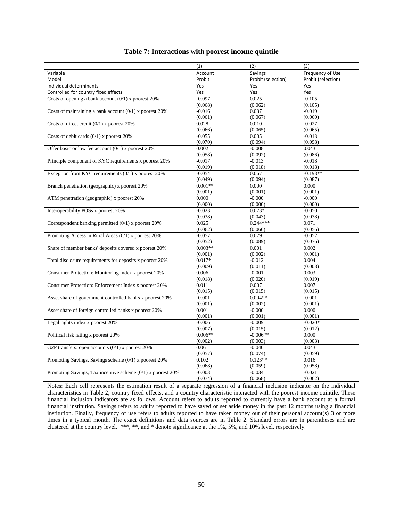|                                                               | (1)       | (2)                | (3)                |
|---------------------------------------------------------------|-----------|--------------------|--------------------|
| Variable                                                      | Account   | Savings            | Frequency of Use   |
| Model                                                         | Probit    | Probit (selection) | Probit (selection) |
|                                                               |           |                    |                    |
| Individual determinants                                       | Yes       | Yes                | Yes                |
| Controlled for country fixed effects                          | Yes       | Yes                | Yes                |
| Costs of opening a bank account $(0/1)$ x poorest 20%         | $-0.097$  | 0.025              | $-0.105$           |
|                                                               | (0.068)   | (0.062)            | (0.105)            |
| Costs of maintaining a bank account $(0/1)$ x poorest 20%     | $-0.016$  | 0.037              | $-0.019$           |
|                                                               | (0.061)   | (0.067)            | (0.060)            |
| Costs of direct credit $(0/1)$ x poorest 20%                  | 0.028     | 0.010              | $-0.027$           |
|                                                               | (0.066)   | (0.065)            | (0.065)            |
| Costs of debit cards $(0/1)$ x poorest 20%                    | $-0.055$  | 0.005              | $-0.013$           |
|                                                               | (0.070)   | (0.094)            | (0.098)            |
| Offer basic or low fee account $(0/1)$ x poorest 20%          | 0.002     | $-0.008$           | 0.043              |
|                                                               | (0.058)   | (0.092)            | (0.086)            |
| Principle component of KYC requirements x poorest 20%         | $-0.017$  | $-0.013$           | $-0.018$           |
|                                                               | (0.019)   | (0.018)            | (0.018)            |
| Exception from KYC requirements $(0/1)$ x poorest 20%         | $-0.054$  | 0.067              | $-0.193**$         |
|                                                               | (0.049)   | (0.094)            | (0.087)            |
| Branch penetration (geographic) x poorest 20%                 | $0.001**$ | 0.000              | 0.000              |
|                                                               | (0.001)   | (0.001)            | (0.001)            |
| ATM penetration (geographic) x poorest 20%                    | 0.000     | $-0.000$           | $-0.000$           |
|                                                               | (0.000)   | (0.000)            | (0.000)            |
| Interoperability POSs x poorest 20%                           | $-0.023$  | $0.073*$           | $-0.050$           |
|                                                               | (0.038)   | (0.043)            | (0.038)            |
| Correspondent banking permitted $(0/1)$ x poorest 20%         | 0.025     | $0.244***$         | 0.071              |
|                                                               | (0.062)   | (0.066)            | (0.056)            |
| Promoting Access in Rural Areas (0/1) x poorest 20%           | $-0.057$  | 0.079              | $-0.052$           |
|                                                               | (0.052)   | (0.089)            | (0.076)            |
| Share of member banks' deposits covered x poorest 20%         | $0.003**$ | 0.001              | 0.002              |
|                                                               | (0.001)   | (0.002)            | (0.001)            |
| Total disclosure requirements for deposits x poorest 20%      | $0.017*$  | $-0.012$           | 0.004              |
|                                                               | (0.009)   | (0.011)            | (0.008)            |
| Consumer Protection: Monitoring Index x poorest 20%           | 0.006     | $-0.001$           | 0.003              |
|                                                               | (0.018)   | (0.020)            | (0.019)            |
| Consumer Protection: Enforcement Index x poorest 20%          | 0.011     | 0.007              | 0.007              |
|                                                               | (0.015)   | (0.015)            | (0.015)            |
| Asset share of government controlled banks x poorest 20%      | $-0.001$  | $0.004**$          | $-0.001$           |
|                                                               | (0.001)   | (0.002)            | (0.001)            |
| Asset share of foreign controlled banks x poorest 20%         | 0.001     | $-0.000$           | 0.000              |
|                                                               | (0.001)   | (0.001)            | (0.001)            |
| Legal rights index x poorest 20%                              | $-0.006$  | $-0.009$           | $-0.020*$          |
|                                                               | (0.007)   | (0.015)            | (0.012)            |
| Political risk rating x poorest 20%                           | $0.006**$ | $-0.006**$         | 0.000              |
|                                                               | (0.002)   | (0.003)            | (0.003)            |
| G2P transfers: open accounts $(0/1)$ x poorest 20%            | 0.061     | $-0.040$           | 0.043              |
|                                                               | (0.057)   | (0.074)            | (0.059)            |
| Promoting Savings, Savings scheme (0/1) x poorest 20%         | 0.102     | $0.123**$          | 0.016              |
|                                                               | (0.068)   | (0.059)            | (0.058)            |
| Promoting Savings, Tax incentive scheme $(0/1)$ x poorest 20% | $-0.003$  | $-0.034$           | $-0.021$           |
|                                                               | (0.074)   | (0.068)            | (0.062)            |

#### **Table 7: Interactions with poorest income quintile**

Notes: Each cell represents the estimation result of a separate regression of a financial inclusion indicator on the individual characteristics in Table 2, country fixed effects, and a country characteristic interacted with the poorest income quintile. These financial inclusion indicators are as follows. Account refers to adults reported to currently have a bank account at a formal financial institution. Savings refers to adults reported to have saved or set aside money in the past 12 months using a financial institution. Finally, frequency of use refers to adults reported to have taken money out of their personal account(s) 3 or more times in a typical month. The exact definitions and data sources are in Table 2. Standard errors are in parentheses and are clustered at the country level. \*\*\*, \*\*, and \* denote significance at the 1%, 5%, and 10% level, respectively.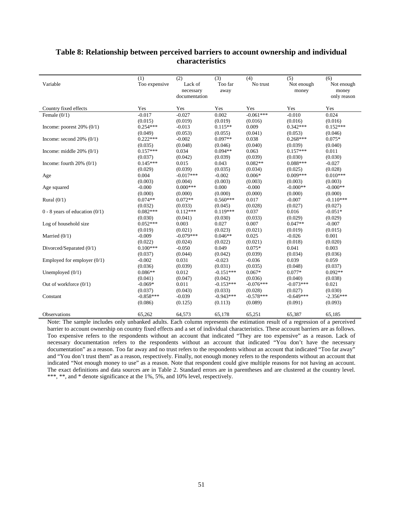|                                    | (1)           | $\overline{(2)}$ | (3)         | (4)         | $\overline{(5)}$ | (6)         |
|------------------------------------|---------------|------------------|-------------|-------------|------------------|-------------|
| Variable                           | Too expensive | Lack of          | Too far     | No trust    | Not enough       | Not enough  |
|                                    |               | necessary        | away        |             | money            | money       |
|                                    |               | documentation    |             |             |                  | only reason |
| Country fixed effects              | Yes           | Yes              | Yes         | Yes         | Yes              | Yes         |
| Female $(0/1)$                     | $-0.017$      | $-0.027$         | 0.002       | $-0.061***$ | $-0.010$         | 0.024       |
|                                    | (0.015)       | (0.019)          | (0.019)     | (0.016)     | (0.016)          | (0.016)     |
| Income: poorest $20\%$ (0/1)       | $0.254***$    | $-0.013$         | $0.115**$   | 0.009       | $0.342***$       | $0.152***$  |
|                                    | (0.049)       | (0.053)          | (0.055)     | (0.041)     | (0.053)          | (0.046)     |
| Income: second $20\%$ (0/1)        | $0.222***$    | $-0.002$         | $0.097**$   | 0.038       | $0.268***$       | $0.075*$    |
|                                    | (0.035)       | (0.048)          | (0.046)     | (0.040)     | (0.039)          | (0.040)     |
| Income: middle $20\%$ (0/1)        | $0.157***$    | 0.034            | $0.094**$   | 0.063       | $0.157***$       | 0.011       |
|                                    | (0.037)       | (0.042)          | (0.039)     | (0.039)     | (0.030)          | (0.030)     |
| Income: fourth $20\%$ (0/1)        | $0.145***$    | 0.015            | 0.043       | $0.082**$   | $0.088***$       | $-0.027$    |
|                                    | (0.029)       | (0.039)          | (0.035)     | (0.034)     | (0.025)          | (0.028)     |
| Age                                | 0.004         | $-0.017***$      | $-0.002$    | $0.006*$    | $0.009***$       | $0.010***$  |
|                                    | (0.003)       | (0.004)          | (0.003)     | (0.003)     | (0.003)          | (0.003)     |
| Age squared                        | $-0.000$      | $0.000***$       | 0.000       | $-0.000$    | $-0.000**$       | $-0.000**$  |
|                                    | (0.000)       | (0.000)          | (0.000)     | (0.000)     | (0.000)          | (0.000)     |
| Rural $(0/1)$                      | $0.074**$     | $0.072**$        | $0.560***$  | 0.017       | $-0.007$         | $-0.110***$ |
|                                    | (0.032)       | (0.033)          | (0.045)     | (0.028)     | (0.027)          | (0.027)     |
| $0 - 8$ years of education $(0/1)$ | $0.082***$    | $0.112***$       | $0.119***$  | 0.037       | 0.016            | $-0.051*$   |
|                                    | (0.030)       | (0.041)          | (0.030)     | (0.033)     | (0.029)          | (0.029)     |
| Log of household size              | $0.052***$    | 0.003            | 0.027       | 0.007       | $0.047**$        | $-0.007$    |
|                                    | (0.019)       | (0.021)          | (0.023)     | (0.021)     | (0.019)          | (0.015)     |
| Married $(0/1)$                    | $-0.009$      | $-0.079***$      | $0.046**$   | 0.025       | $-0.026$         | 0.001       |
|                                    | (0.022)       | (0.024)          | (0.022)     | (0.021)     | (0.018)          | (0.020)     |
| Divorced/Separated (0/1)           | $0.100***$    | $-0.050$         | 0.049       | $0.075*$    | 0.041            | 0.003       |
|                                    | (0.037)       | (0.044)          | (0.042)     | (0.039)     | (0.034)          | (0.036)     |
| Employed for employer $(0/1)$      | $-0.002$      | 0.031            | $-0.023$    | $-0.036$    | 0.039            | 0.059       |
|                                    | (0.036)       | (0.039)          | (0.031)     | (0.035)     | (0.048)          | (0.037)     |
| Unemployed $(0/1)$                 | $0.086**$     | 0.012            | $-0.151***$ | $0.067*$    | $0.077*$         | $0.092**$   |
|                                    | (0.041)       | (0.047)          | (0.042)     | (0.036)     | (0.040)          | (0.038)     |
| Out of workforce $(0/1)$           | $-0.069*$     | 0.011            | $-0.153***$ | $-0.076***$ | $-0.073***$      | 0.021       |
|                                    | (0.037)       | (0.043)          | (0.033)     | (0.028)     | (0.027)          | (0.030)     |
| Constant                           | $-0.858***$   | $-0.039$         | $-0.943***$ | $-0.578***$ | $-0.649***$      | $-2.356***$ |
|                                    | (0.086)       | (0.125)          | (0.113)     | (0.089)     | (0.091)          | (0.093)     |
| Observations                       | 65,262        | 64,573           | 65,178      | 65,251      | 65,387           | 65,185      |

### **Table 8: Relationship between perceived barriers to account ownership and individual characteristics**

Note: The sample includes only unbanked adults. Each column represents the estimation result of a regression of a perceived barrier to account ownership on country fixed effects and a set of individual characteristics. These account barriers are as follows. Too expensive refers to the respondents without an account that indicated "They are too expensive" as a reason. Lack of necessary documentation refers to the respondents without an account that indicated "You don't have the necessary documentation" as a reason. Too far away and no trust refers to the respondents without an account that indicated "Too far away" and "You don't trust them" as a reason, respectively. Finally, not enough money refers to the respondents without an account that indicated "Not enough money to use" as a reason. Note that respondent could give multiple reasons for not having an account. The exact definitions and data sources are in Table 2. Standard errors are in parentheses and are clustered at the country level. \*\*\*, \*\*, and \* denote significance at the 1%, 5%, and 10% level, respectively.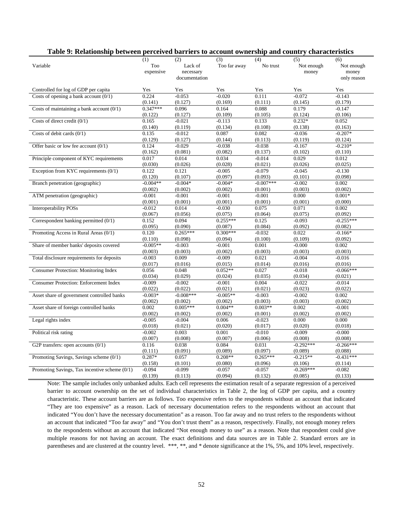| Table 9: Relationship between perceived barriers to account ownership and country characteristics |                         |                                              |                     |                     |                            |                                           |  |  |  |  |  |  |
|---------------------------------------------------------------------------------------------------|-------------------------|----------------------------------------------|---------------------|---------------------|----------------------------|-------------------------------------------|--|--|--|--|--|--|
| Variable                                                                                          | (1)<br>Too<br>expensive | (2)<br>Lack of<br>necessary<br>documentation | (3)<br>Too far away | (4)<br>No trust     | (5)<br>Not enough<br>money | (6)<br>Not enough<br>money<br>only reason |  |  |  |  |  |  |
| Controlled for log of GDP per capita                                                              | Yes                     | Yes                                          | Yes                 | Yes                 | Yes                        | Yes                                       |  |  |  |  |  |  |
| Costs of opening a bank account $(0/1)$                                                           | 0.224                   | $-0.053$                                     | $-0.020$            | 0.111               | $-0.072$                   | $-0.143$                                  |  |  |  |  |  |  |
|                                                                                                   | (0.141)                 | (0.127)                                      | (0.169)             | (0.111)             | (0.145)                    | (0.179)                                   |  |  |  |  |  |  |
| Costs of maintaining a bank account $(0/1)$                                                       | $0.347***$              | 0.096                                        | 0.164               | 0.088               | 0.179                      | $-0.147$                                  |  |  |  |  |  |  |
|                                                                                                   | (0.122)                 | (0.127)                                      | (0.109)             | (0.105)             | (0.124)                    | (0.106)                                   |  |  |  |  |  |  |
| Costs of direct credit $(0/1)$                                                                    | 0.165                   | $-0.021$                                     | $-0.113$            | 0.133               | $0.232*$                   | 0.052                                     |  |  |  |  |  |  |
|                                                                                                   | (0.140)                 | (0.119)                                      | (0.134)             | (0.108)             | (0.138)                    | (0.163)                                   |  |  |  |  |  |  |
| Costs of debit cards $(0/1)$                                                                      | 0.135                   | $-0.012$                                     | 0.087               | 0.082               | $-0.036$                   | $-0.207*$                                 |  |  |  |  |  |  |
|                                                                                                   | (0.129)                 | (0.127)                                      | (0.144)             | (0.113)             | (0.119)                    | (0.124)                                   |  |  |  |  |  |  |
| Offer basic or low fee account $(0/1)$                                                            | 0.124                   | $-0.029$                                     | $-0.038$            | $-0.038$            | $-0.167$                   | $-0.210*$                                 |  |  |  |  |  |  |
|                                                                                                   | (0.162)                 | (0.081)                                      | (0.082)             | (0.137)             | (0.102)                    | (0.110)                                   |  |  |  |  |  |  |
| Principle component of KYC requirements                                                           | 0.017                   | 0.014                                        | 0.034               | $-0.014$            | 0.029                      | 0.012                                     |  |  |  |  |  |  |
|                                                                                                   | (0.030)                 | (0.026)                                      | (0.028)             | (0.021)             | (0.026)                    | (0.025)                                   |  |  |  |  |  |  |
| Exception from KYC requirements $(0/1)$                                                           | 0.122                   | 0.121                                        | $-0.005$            | $-0.079$            | $-0.045$                   | $-0.130$                                  |  |  |  |  |  |  |
|                                                                                                   | (0.120)                 | (0.107)                                      | (0.097)             | (0.093)             | (0.101)                    | (0.098)                                   |  |  |  |  |  |  |
| Branch penetration (geographic)                                                                   | $-0.004**$              | $-0.004*$                                    | $-0.004*$           | $-0.007***$         | $-0.002$                   | 0.002                                     |  |  |  |  |  |  |
|                                                                                                   | (0.002)                 | (0.002)                                      | (0.002)             | (0.001)             | (0.003)                    | (0.002)                                   |  |  |  |  |  |  |
| ATM penetration (geographic)                                                                      | $-0.001$                | $-0.001$                                     | $-0.001$            | $-0.001$            | 0.000                      | $0.001*$                                  |  |  |  |  |  |  |
| <b>Interoperability POSs</b>                                                                      | (0.001)<br>$-0.012$     | (0.001)                                      | (0.001)<br>$-0.030$ | (0.001)<br>0.075    | (0.001)<br>0.071           | (0.000)<br>0.002                          |  |  |  |  |  |  |
|                                                                                                   | (0.067)                 | 0.014<br>(0.056)                             | (0.075)             | (0.064)             | (0.075)                    | (0.092)                                   |  |  |  |  |  |  |
| Correspondent banking permitted (0/1)                                                             | 0.152                   | 0.094                                        | $0.255***$          | 0.125               | $-0.093$                   | $-0.255***$                               |  |  |  |  |  |  |
|                                                                                                   | (0.095)                 | (0.090)                                      | (0.087)             | (0.084)             | (0.092)                    | (0.082)                                   |  |  |  |  |  |  |
| Promoting Access in Rural Areas (0/1)                                                             | 0.120                   | $0.265***$                                   | $0.300***$          | $-0.032$            | 0.022                      | $-0.166*$                                 |  |  |  |  |  |  |
|                                                                                                   | (0.110)                 | (0.098)                                      | (0.094)             | (0.100)             | (0.109)                    | (0.092)                                   |  |  |  |  |  |  |
| Share of member banks' deposits covered                                                           | $-0.005**$              | $-0.003$                                     | $-0.001$            | 0.001               | $-0.000$                   | 0.002                                     |  |  |  |  |  |  |
|                                                                                                   | (0.003)                 | (0.003)                                      | (0.002)             | (0.003)             | (0.003)                    | (0.003)                                   |  |  |  |  |  |  |
| Total disclosure requirements for deposits                                                        | $-0.003$                | 0.009                                        | $-0.009$            | 0.021               | $-0.004$                   | $-0.016$                                  |  |  |  |  |  |  |
|                                                                                                   | (0.017)                 | (0.016)                                      | (0.015)             | (0.014)             | (0.016)                    | (0.016)                                   |  |  |  |  |  |  |
| <b>Consumer Protection: Monitoring Index</b>                                                      | 0.056                   | 0.048                                        | $0.052**$           | 0.027               | $-0.018$                   | $-0.066***$                               |  |  |  |  |  |  |
|                                                                                                   | (0.034)                 | (0.029)                                      | (0.024)             | (0.035)             | (0.034)                    | (0.021)                                   |  |  |  |  |  |  |
| <b>Consumer Protection: Enforcement Index</b>                                                     | $-0.009$                | $-0.002$                                     | $-0.001$            | 0.004               | $-0.022$                   | $-0.014$                                  |  |  |  |  |  |  |
|                                                                                                   | (0.022)                 | (0.022)                                      | (0.021)             | (0.021)             | (0.023)                    | (0.022)                                   |  |  |  |  |  |  |
| Asset share of government controlled banks                                                        | $-0.003*$               | $-0.008***$                                  | $-0.005**$          | $-0.003$            | $-0.002$                   | 0.002                                     |  |  |  |  |  |  |
|                                                                                                   | (0.002)                 | (0.002)                                      | (0.002)             | (0.003)             | (0.003)                    | (0.002)                                   |  |  |  |  |  |  |
| Asset share of foreign controlled banks                                                           | 0.002                   | $0.005***$                                   | $0.004**$           | $0.003**$           | 0.002                      | $-0.001$                                  |  |  |  |  |  |  |
|                                                                                                   | (0.002)                 | (0.002)                                      | (0.002)             | (0.001)             | (0.002)                    | (0.002)                                   |  |  |  |  |  |  |
| Legal rights index                                                                                | $-0.005$                | $-0.004$                                     | 0.006               | $-0.023$            | 0.000                      | 0.000                                     |  |  |  |  |  |  |
|                                                                                                   | (0.018)                 | (0.021)                                      | (0.020)             | (0.017)             | (0.020)                    | (0.018)                                   |  |  |  |  |  |  |
| Political risk rating                                                                             | $-0.002$                | 0.003                                        | 0.001               | $-0.010$            | $-0.009$                   | $-0.000$                                  |  |  |  |  |  |  |
|                                                                                                   | (0.007)                 | (0.008)                                      | (0.007)             | (0.006)             | (0.008)                    | (0.008)                                   |  |  |  |  |  |  |
| G2P transfers: open accounts $(0/1)$                                                              | 0.116                   | 0.038                                        | 0.084               | 0.031               | $-0.292***$                | $-0.266***$                               |  |  |  |  |  |  |
|                                                                                                   | (0.111)                 | (0.091)                                      | (0.089)             | (0.097)             | (0.089)                    | (0.088)                                   |  |  |  |  |  |  |
| Promoting Savings, Savings scheme (0/1)                                                           | $0.287*$                | 0.057                                        | $0.208**$           | $0.265***$          | $-0.215**$                 | $-0.431***$                               |  |  |  |  |  |  |
| Promoting Savings, Tax incentive scheme (0/1)                                                     | (0.158)<br>$-0.094$     | (0.101)<br>$-0.099$                          | (0.080)<br>$-0.057$ | (0.096)<br>$-0.057$ | (0.106)<br>$-0.269***$     | (0.114)<br>$-0.082$                       |  |  |  |  |  |  |
|                                                                                                   | (0.139)                 | (0.113)                                      | (0.094)             | (0.132)             | (0.085)                    | (0.133)                                   |  |  |  |  |  |  |
|                                                                                                   |                         |                                              |                     |                     |                            |                                           |  |  |  |  |  |  |

Note: The sample includes only unbanked adults. Each cell represents the estimation result of a separate regression of a perceived barrier to account ownership on the set of individual characteristics in Table 2, the log of GDP per capita, and a country characteristic. These account barriers are as follows. Too expensive refers to the respondents without an account that indicated "They are too expensive" as a reason. Lack of necessary documentation refers to the respondents without an account that indicated "You don't have the necessary documentation" as a reason. Too far away and no trust refers to the respondents without an account that indicated "Too far away" and "You don't trust them" as a reason, respectively. Finally, not enough money refers to the respondents without an account that indicated "Not enough money to use" as a reason. Note that respondent could give multiple reasons for not having an account. The exact definitions and data sources are in Table 2. Standard errors are in parentheses and are clustered at the country level. \*\*\*, \*\*, and \* denote significance at the 1%, 5%, and 10% level, respectively.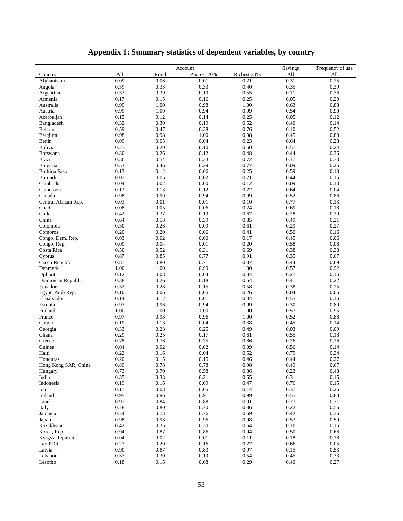# **Appendix 1: Summary statistics of dependent variables, by country**

|                      |      | Account  | Savings     | Frequency of use |      |          |
|----------------------|------|----------|-------------|------------------|------|----------|
| Country              | All  | Rural    | Poorest 20% | Richest 20%      | All  | All      |
| Afghanistan          | 0.09 | 0.06     | 0.01        | 0.21             | 0.31 | 0.25     |
| Angola               | 0.39 | 0.33     | 0.33        | 0.40             | 0.35 | 0.39     |
| Argentina            | 0.33 | 0.39     | 0.19        | 0.55             | 0.11 | 0.36     |
| Armenia              | 0.17 | 0.15     | 0.16        | 0.25             | 0.05 | 0.20     |
| Australia            | 0.99 | 1.00     | 0.98        | 1.00             | 0.63 | 0.88     |
| Austria              | 0.99 | 1.00     | 0.94        | 0.99             | 0.54 | 0.90     |
| Azerbaijan           | 0.15 | 0.12     | 0.14        | 0.25             | 0.05 | 0.12     |
| Bangladesh           | 0.32 | 0.30     | 0.19        | 0.52             | 0.40 | 0.14     |
| <b>Belarus</b>       | 0.59 | 0.47     | 0.38        | 0.76             | 0.10 | 0.52     |
| Belgium              | 0.98 | 0.98     | 1.00        | 0.98             | 0.45 | 0.80     |
| Benin                | 0.09 | 0.05     | 0.04        | 0.23             | 0.64 | 0.28     |
| Bolivia              | 0.27 | 0.20     | 0.10        | 0.50             | 0.57 | 0.24     |
| Botswana             | 0.30 | 0.26     | 0.12        | 0.48             | 0.44 | 0.36     |
| <b>Brazil</b>        | 0.56 | 0.54     | 0.33        | 0.72             | 0.17 | 0.33     |
| Bulgaria             | 0.53 | 0.46     | 0.29        | 0.77             | 0.09 | 0.25     |
| Burkina Faso         | 0.13 | 0.12     | 0.06        | 0.25             | 0.59 | 0.13     |
| Burundi              | 0.07 | 0.05     | $0.02\,$    | 0.21             | 0.44 | 0.15     |
| Cambodia             | 0.04 | 0.02     | 0.00        | 0.12             | 0.09 | 0.13     |
| Cameroon             | 0.13 | 0.13     | 0.12        | 0.22             | 0.64 | 0.04     |
| Canada               | 0.98 | 0.99     | 0.94        | 0.99             | 0.52 | 0.86     |
| Central African Rep. | 0.03 | 0.01     | $0.01\,$    | 0.10             | 0.77 | 0.13     |
| Chad                 | 0.08 | 0.05     | 0.06        | 0.24             | 0.69 | 0.18     |
| Chile                | 0.42 | 0.37     | 0.19        | 0.67             | 0.28 | 0.30     |
| China                | 0.64 | 0.58     | 0.39        | 0.85             | 0.49 | 0.21     |
| Colombia             |      |          |             |                  |      |          |
|                      | 0.30 | 0.26     | 0.09        | 0.61             | 0.29 | 0.27     |
| Comoros              | 0.20 | 0.20     | 0.06        | 0.41             | 0.50 | 0.16     |
| Congo, Dem. Rep.     | 0.03 | 0.02     | 0.00        | 0.17             | 0.45 | 0.06     |
| Congo, Rep.          | 0.09 | 0.04     | 0.01        | 0.20             | 0.58 | 0.08     |
| Costa Rica           | 0.50 | 0.52     | 0.31        | 0.69             | 0.38 | 0.38     |
| Cyprus               | 0.87 | 0.85     | 0.77        | 0.91             | 0.35 | 0.67     |
| Czech Republic       | 0.81 | 0.80     | 0.71        | 0.87             | 0.44 | 0.69     |
| Denmark              | 1.00 | 1.00     | 0.99        | 1.00             | 0.57 | 0.92     |
| Djibouti             | 0.12 | 0.08     | 0.04        | 0.34             | 0.27 | 0.16     |
| Dominican Republic   | 0.38 | 0.26     | 0.18        | 0.64             | 0.41 | 0.22     |
| Ecuador              | 0.32 | 0.28     | 0.15        | 0.58             | 0.38 | 0.25     |
| Egypt, Arab Rep.     | 0.10 | 0.06     | 0.05        | 0.26             | 0.04 | 0.06     |
| El Salvador          | 0.14 | 0.12     | 0.01        | 0.34             | 0.55 | 0.16     |
| Estonia              | 0.97 | 0.96     | 0.94        | 0.99             | 0.30 | 0.80     |
| Finland              | 1.00 | 1.00     | 1.00        | 1.00             | 0.57 | 0.95     |
| France               | 0.97 | 0.98     | 0.96        | 1.00             | 0.52 | 0.88     |
| Gabon                | 0.19 | 0.13     | 0.04        | 0.38             | 0.45 | 0.14     |
| Georgia              | 0.33 | 0.28     | 0.25        | 0.49             | 0.03 | 0.09     |
| Ghana                | 0.29 | 0.25     | 0.17        | 0.61             | 0.55 | 0.18     |
| Greece               | 0.78 | 0.76     | 0.75        | 0.86             | 0.26 | 0.26     |
| Guinea               | 0.04 | 0.02     | 0.02        | 0.09             | 0.56 | 0.14     |
| Haiti                | 0.22 | 0.16     | 0.04        | 0.52             | 0.79 | 0.34     |
| Honduras             | 0.20 | 0.15     | 0.15        | 0.46             | 0.44 | 0.27     |
| Hong Kong SAR, China | 0.89 | 0.78     | 0.78        | 0.98             | 0.49 | 0.67     |
| Hungary              | 0.73 | 0.70     | 0.58        | 0.86             | 0.23 | 0.48     |
| India                | 0.35 | 0.33     | 0.21        | 0.55             | 0.31 | 0.15     |
| Indonesia            | 0.19 | 0.16     | 0.09        | 0.47             | 0.76 | 0.15     |
| Iraq                 | 0.11 | 0.08     | 0.05        | 0.14             | 0.37 | 0.26     |
| Ireland              | 0.95 | 0.96     | 0.91        | 0.99             | 0.55 | $0.80\,$ |
| Israel               | 0.91 | 0.84     | 0.88        | 0.91             | 0.27 | 0.71     |
| Italy                | 0.78 | $0.80\,$ | 0.70        | 0.86             | 0.22 | 0.56     |
| Jamaica              | 0.74 | 0.73     | 0.76        | 0.69             | 0.42 | 0.35     |
| Japan                | 0.98 | 0.98     | 0.96        | 0.98             | 0.53 | 0.50     |
| Kazakhstan           | 0.42 | 0.35     | 0.30        | 0.54             | 0.16 | 0.15     |
| Korea, Rep.          | 0.94 | 0.87     | 0.86        | 0.94             | 0.50 | 0.66     |
| Kyrgyz Republic      | 0.04 | 0.02     | 0.01        | 0.11             | 0.18 | 0.38     |
| Lao PDR              | 0.27 | 0.20     | 0.16        | 0.27             | 0.66 | 0.05     |
| Latvia               | 0.90 | 0.87     | 0.83        | 0.97             | 0.15 | 0.53     |
| Lebanon              | 0.37 | 0.30     | 0.19        | 0.54             | 0.45 | 0.33     |
| Lesotho              | 0.18 | 0.16     | $0.08\,$    | 0.29             | 0.40 | 0.27     |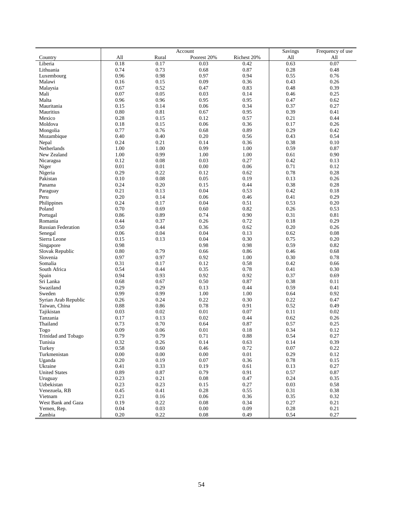|                           |          | Account | Savings     | Frequency of use |      |      |
|---------------------------|----------|---------|-------------|------------------|------|------|
| Country                   | All      | Rural   | Poorest 20% | Richest 20%      | All  | All  |
| Liberia                   | 0.18     | 0.17    | 0.03        | 0.42             | 0.63 | 0.07 |
| Lithuania                 | 0.74     | 0.73    | 0.68        | 0.87             | 0.28 | 0.48 |
| Luxembourg                | 0.96     | 0.98    | 0.97        | 0.94             | 0.55 | 0.76 |
| Malawi                    | 0.16     | 0.15    | 0.09        | 0.36             | 0.43 | 0.26 |
| Malaysia                  | 0.67     | 0.52    | 0.47        | 0.83             | 0.48 | 0.39 |
| Mali                      | 0.07     | 0.05    | 0.03        | 0.14             | 0.46 | 0.25 |
| Malta                     | 0.96     | 0.96    | 0.95        | 0.95             | 0.47 | 0.62 |
| Mauritania                | 0.15     | 0.14    | 0.06        | 0.34             | 0.37 | 0.27 |
| Mauritius                 | 0.80     | 0.81    | 0.67        | 0.95             | 0.39 | 0.41 |
| Mexico                    | 0.28     | 0.15    | 0.12        | 0.57             | 0.21 | 0.44 |
| Moldova                   | 0.18     | 0.15    | 0.06        | 0.36             | 0.17 | 0.26 |
| Mongolia                  | 0.77     | 0.76    | 0.68        | 0.89             | 0.29 | 0.42 |
| Mozambique                | 0.40     | 0.40    | 0.20        | 0.56             | 0.43 | 0.54 |
| Nepal                     | 0.24     | 0.21    | 0.14        | 0.36             | 0.38 | 0.10 |
| Netherlands               | 1.00     | 1.00    | 0.99        | 1.00             | 0.59 | 0.87 |
| New Zealand               | 1.00     | 0.99    | 1.00        | 1.00             | 0.61 | 0.90 |
| Nicaragua                 | 0.12     | 0.08    | 0.03        | 0.27             | 0.42 | 0.13 |
| Niger                     | 0.01     | 0.01    | 0.00        | 0.06             | 0.71 | 0.12 |
| Nigeria                   | 0.29     | 0.22    | 0.12        | 0.62             | 0.78 | 0.28 |
| Pakistan                  | 0.10     | 0.08    | 0.05        | 0.19             | 0.13 | 0.26 |
| Panama                    | 0.24     | 0.20    | 0.15        | 0.44             | 0.38 | 0.28 |
|                           | 0.21     | 0.13    | 0.04        | 0.53             | 0.42 | 0.18 |
| Paraguay<br>Peru          | 0.20     | 0.14    | 0.06        | 0.46             | 0.41 | 0.29 |
|                           | 0.24     | 0.17    | 0.04        | 0.51             | 0.53 | 0.20 |
| Philippines               | 0.70     | 0.69    | 0.60        | 0.82             | 0.26 | 0.53 |
| Poland                    |          |         |             |                  |      |      |
| Portugal                  | 0.86     | 0.89    | 0.74        | 0.90             | 0.31 | 0.81 |
| Romania                   | 0.44     | 0.37    | 0.26        | 0.72             | 0.18 | 0.29 |
| <b>Russian Federation</b> | 0.50     | 0.44    | 0.36        | 0.62             | 0.20 | 0.26 |
| Senegal                   | 0.06     | 0.04    | 0.04        | 0.13             | 0.62 | 0.08 |
| Sierra Leone              | 0.15     | 0.13    | 0.04        | 0.30             | 0.75 | 0.20 |
| Singapore                 | 0.98     |         | 0.98        | 0.98             | 0.59 | 0.82 |
| Slovak Republic           | 0.80     | 0.79    | 0.66        | 0.86             | 0.46 | 0.68 |
| Slovenia                  | 0.97     | 0.97    | 0.92        | 1.00             | 0.30 | 0.78 |
| Somalia                   | 0.31     | 0.17    | 0.12        | 0.58             | 0.42 | 0.66 |
| South Africa              | 0.54     | 0.44    | 0.35        | 0.78             | 0.41 | 0.30 |
| Spain                     | 0.94     | 0.93    | 0.92        | 0.92             | 0.37 | 0.69 |
| Sri Lanka                 | 0.68     | 0.67    | 0.50        | 0.87             | 0.38 | 0.11 |
| Swaziland                 | 0.29     | 0.29    | 0.13        | 0.44             | 0.59 | 0.41 |
| Sweden                    | 0.99     | 0.99    | 1.00        | 1.00             | 0.64 | 0.92 |
| Syrian Arab Republic      | 0.26     | 0.24    | 0.22        | 0.30             | 0.22 | 0.47 |
| Taiwan, China             | 0.88     | 0.86    | 0.78        | 0.91             | 0.52 | 0.49 |
| Tajikistan                | 0.03     | 0.02    | 0.01        | 0.07             | 0.11 | 0.02 |
| Tanzania                  | 0.17     | 0.13    | 0.02        | 0.44             | 0.62 | 0.26 |
| Thailand                  | 0.73     | 0.70    | 0.64        | 0.87             | 0.57 | 0.25 |
| Togo                      | 0.09     | 0.06    | 0.01        | 0.18             | 0.34 | 0.12 |
| Trinidad and Tobago       | 0.79     | 0.79    | 0.71        | 0.88             | 0.54 | 0.27 |
| Tunisia                   | 0.32     | 0.26    | 0.14        | 0.63             | 0.14 | 0.39 |
| Turkey                    | 0.58     | 0.60    | 0.46        | 0.72             | 0.07 | 0.22 |
| Turkmenistan              | 0.00     | 0.00    | 0.00        | 0.01             | 0.29 | 0.12 |
| Uganda                    | $0.20\,$ | 0.19    | 0.07        | 0.36             | 0.78 | 0.15 |
| Ukraine                   | 0.41     | 0.33    | 0.19        | 0.61             | 0.13 | 0.27 |
| <b>United States</b>      | 0.89     | 0.87    | 0.79        | 0.91             | 0.57 | 0.87 |
| Uruguay                   | 0.23     | 0.21    | 0.08        | 0.47             | 0.24 | 0.35 |
| Uzbekistan                | 0.23     | 0.23    | 0.15        | 0.27             | 0.03 | 0.58 |
| Venezuela, RB             | 0.45     | 0.41    | 0.28        | 0.55             | 0.31 | 0.38 |
| Vietnam                   | 0.21     | 0.16    | 0.06        | 0.36             | 0.35 | 0.32 |
| West Bank and Gaza        | 0.19     | 0.22    | 0.08        | 0.34             | 0.27 | 0.21 |
| Yemen, Rep.               | 0.04     | 0.03    | 0.00        | 0.09             | 0.28 | 0.21 |
| Zambia                    | 0.20     | 0.22    | 0.08        | 0.49             | 0.54 | 0.27 |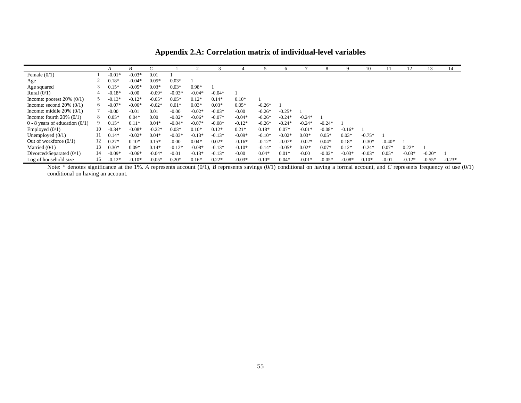|                                    |    | A        | В        |          |          |          |          |          |          | 6        |          |          |          | 10       |          | 12       | 13.      | 14       |
|------------------------------------|----|----------|----------|----------|----------|----------|----------|----------|----------|----------|----------|----------|----------|----------|----------|----------|----------|----------|
| Female $(0/1)$                     |    | $-0.01*$ | $-0.03*$ | 0.01     |          |          |          |          |          |          |          |          |          |          |          |          |          |          |
| Age                                |    | $0.18*$  | $-0.04*$ | $0.05*$  | $0.03*$  |          |          |          |          |          |          |          |          |          |          |          |          |          |
| Age squared                        |    | $0.15*$  | $-0.05*$ | $0.03*$  | $0.03*$  | $0.98*$  |          |          |          |          |          |          |          |          |          |          |          |          |
| Rural $(0/1)$                      |    | $-0.18*$ | $-0.00$  | $-0.09*$ | $-0.03*$ | $-0.04*$ | $-0.04*$ |          |          |          |          |          |          |          |          |          |          |          |
| Income: poorest $20\%$ (0/1)       |    | $-0.13*$ | $-0.12*$ | $-0.05*$ | $0.05*$  | $0.12*$  | $0.14*$  | $0.10*$  |          |          |          |          |          |          |          |          |          |          |
| Income: second $20\%$ (0/1)        | 6. | $-0.07*$ | $-0.06*$ | $-0.02*$ | $0.01*$  | $0.03*$  | $0.03*$  | $0.05*$  | $-0.26*$ |          |          |          |          |          |          |          |          |          |
| Income: middle $20\%$ (0/1)        |    | $-0.00$  | $-0.01$  | 0.01     | $-0.00$  | $-0.02*$ | $-0.03*$ | $-0.00$  | $-0.26*$ | $-0.25*$ |          |          |          |          |          |          |          |          |
| Income: fourth $20\%$ (0/1)        | 8. | $0.05*$  | $0.04*$  | 0.00     | $-0.02*$ | $-0.06*$ | $-0.07*$ | $-0.04*$ | $-0.26*$ | $-0.24*$ | $-0.24*$ |          |          |          |          |          |          |          |
| $0 - 8$ years of education $(0/1)$ |    | $0.15*$  | $0.11*$  | $0.04*$  | $-0.04*$ | $-0.07*$ | $-0.08*$ | $-0.12*$ | $-0.26*$ | $-0.24*$ | $-0.24*$ | $-0.24*$ |          |          |          |          |          |          |
| Employed $(0/1)$                   | 10 | $-0.34*$ | $-0.08*$ | $-0.22*$ | $0.03*$  | $0.10*$  | $0.12*$  | $0.21*$  | $0.18*$  | $0.07*$  | $-0.01*$ | $-0.08*$ | $-0.16*$ |          |          |          |          |          |
| Unemployed $(0/1)$                 |    | $0.14*$  | $-0.02*$ | $0.04*$  | $-0.03*$ | $-0.13*$ | $-0.13*$ | $-0.09*$ | $-0.10*$ | $-0.02*$ | $0.03*$  | $0.05*$  | $0.03*$  | $-0.75*$ |          |          |          |          |
| Out of workforce $(0/1)$           | 12 | $0.27*$  | $0.10*$  | $0.15*$  | $-0.00$  | $0.04*$  | $0.02*$  | $-0.16*$ | $-0.12*$ | $-0.07*$ | $-0.02*$ | $0.04*$  | $0.18*$  | $-0.30*$ | $-0.40*$ |          |          |          |
| Married $(0/1)$                    | 13 | $0.30*$  | $0.09*$  | $0.14*$  | $-0.12*$ | $-0.08*$ | $-0.13*$ | $-0.10*$ | $-0.14*$ | $-0.05*$ | $0.02*$  | $0.07*$  | $0.12*$  | $-0.24*$ | $0.07*$  | $0.22*$  |          |          |
| Divorced/Separated $(0/1)$         | 14 | $-0.09*$ | $-0.06*$ | $-0.04*$ | $-0.01$  | $-0.13*$ | $-0.13*$ | $-0.00$  | $0.04*$  | $0.01*$  | $-0.00$  | $-0.02*$ | $-0.03*$ | $-0.03*$ | $0.05*$  | $-0.03*$ | $-0.20*$ |          |
| Log of household size              | 15 | $-0.12*$ | $-0.10*$ | $-0.05*$ | $0.20*$  | $0.16*$  | $0.22*$  | $-0.03*$ | $0.10*$  | $0.04*$  | $-0.01*$ | $-0.05*$ | $-0.08*$ | $0.10*$  | $-0.01$  | $-0.12*$ | $-0.55*$ | $-0.23*$ |

**Appendix 2.A: Correlation matrix of individual-level variables**

Note: \* denotes significance at the 1%. A represents account (0/1), *B* represents savings (0/1) conditional on having a formal account, and *C* represents frequency of use (0/1) conditional on having an account.